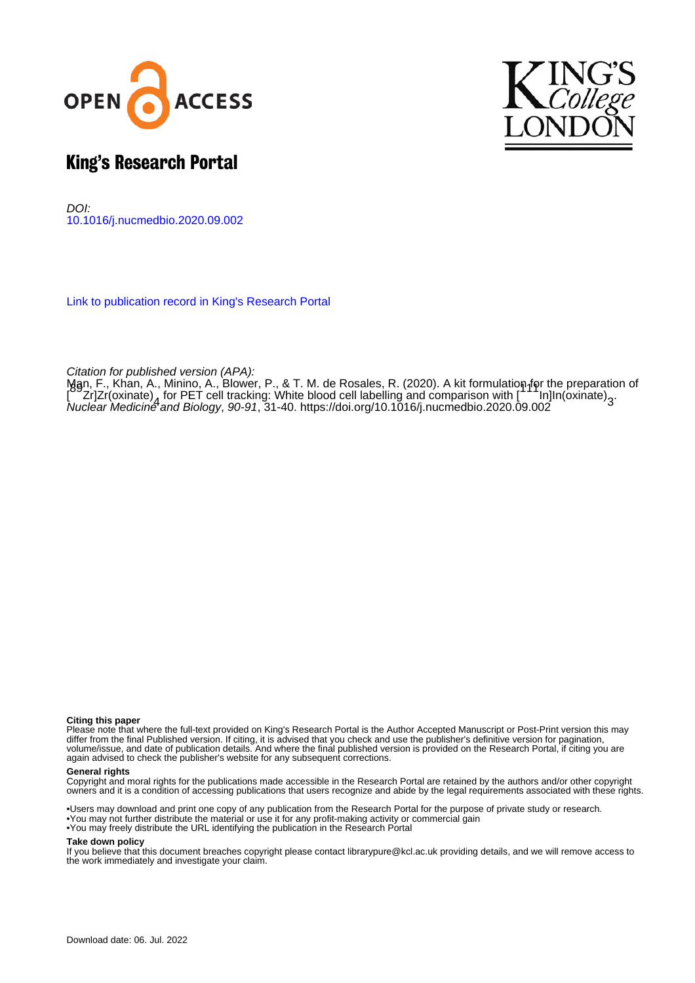



# King's Research Portal

DOI: [10.1016/j.nucmedbio.2020.09.002](https://doi.org/10.1016/j.nucmedbio.2020.09.002)

[Link to publication record in King's Research Portal](https://kclpure.kcl.ac.uk/portal/en/publications/a-kit-formulation-for-the-preparation-of-89zrzroxinate4-for-pet-cell-tracking-white-blood-cell-labelling-and-comparison-with-111ininoxinate3(556d6e14-0010-4169-b7c3-61c31a4d42eb).html)

Citation for published version (APA):

[Man, F.](https://kclpure.kcl.ac.uk/portal/en/persons/francis-man(f736be39-d6d0-40bb-b24a-5e463008b0dd).html)[, Khan, A.](https://kclpure.kcl.ac.uk/portal/en/persons/azalea-khan(62107b5a-47d1-4741-8fed-559739e9bdbd).html)[, Minino, A.](/portal/amaia.minino.html)[, Blower, P.](/portal/philip.blower.html)[, & T. M. de Rosales, R.](https://kclpure.kcl.ac.uk/portal/en/persons/rafael-t-m-de-rosales(98e30dfe-e38a-4c20-a018-717b7b6fa19a).html) (2020). [A kit formulation for the preparation of](https://kclpure.kcl.ac.uk/portal/en/publications/a-kit-formulation-for-the-preparation-of-89zrzroxinate4-for-pet-cell-tracking-white-blood-cell-labelling-and-comparison-with-111ininoxinate3(556d6e14-0010-4169-b7c3-61c31a4d42eb).html) nggn, F., Knan, A., Minino, A., Blower, P., & T. M. de Rosales, R. (2020). A Kit formulation left the preparatio<br>[\[](https://kclpure.kcl.ac.uk/portal/en/publications/a-kit-formulation-for-the-preparation-of-89zrzroxinate4-for-pet-cell-tracking-white-blood-cell-labelling-and-comparison-with-111ininoxinate3(556d6e14-0010-4169-b7c3-61c31a4d42eb).html)2013] Trackinate) , [for PET cell tracking: White blood cell labelling and comparison with \[](https://kclpure.kcl.ac.uk/portal/en/publications/a-kit-formulation-for-the-preparation-of-89zrzroxinate4-for-pet-cell-tracking-white-blood-cell-labelling-and-comparison-with-111ininoxinate3(556d6e14-0010-4169-b7c3-61c31a4d42eb).html)2011] In[In(oxina [Nuclear Medicine and Biology](https://kclpure.kcl.ac.uk/portal/en/journals/nuclear-medicine-and-biology(8743b05f-ddc0-41f4-ae14-e3f9c5ff5e0d).html), 90-91, 31-40.<https://doi.org/10.1016/j.nucmedbio.2020.09.002>

#### **Citing this paper**

Please note that where the full-text provided on King's Research Portal is the Author Accepted Manuscript or Post-Print version this may differ from the final Published version. If citing, it is advised that you check and use the publisher's definitive version for pagination, volume/issue, and date of publication details. And where the final published version is provided on the Research Portal, if citing you are again advised to check the publisher's website for any subsequent corrections.

#### **General rights**

Copyright and moral rights for the publications made accessible in the Research Portal are retained by the authors and/or other copyright owners and it is a condition of accessing publications that users recognize and abide by the legal requirements associated with these rights.

•Users may download and print one copy of any publication from the Research Portal for the purpose of private study or research. •You may not further distribute the material or use it for any profit-making activity or commercial gain •You may freely distribute the URL identifying the publication in the Research Portal

#### **Take down policy**

If you believe that this document breaches copyright please contact librarypure@kcl.ac.uk providing details, and we will remove access to the work immediately and investigate your claim.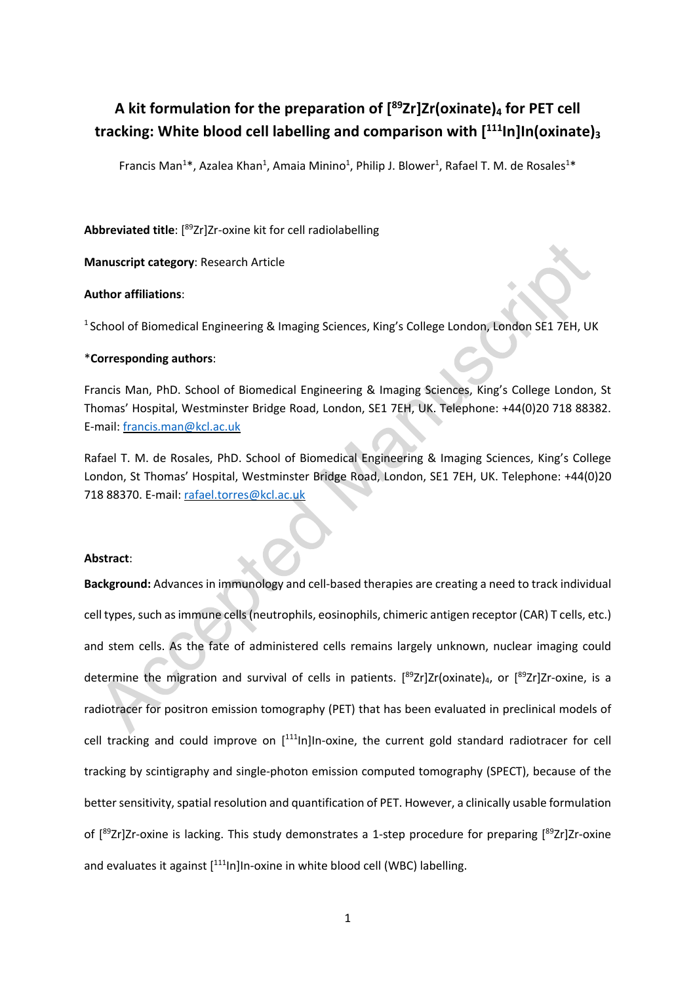# **A kit formulation for the preparation of [89Zr]Zr(oxinate)4 for PET cell tracking: White blood cell labelling and comparison with [111In]In(oxinate)3**

Francis Man<sup>1\*</sup>, Azalea Khan<sup>1</sup>, Amaia Minino<sup>1</sup>, Philip J. Blower<sup>1</sup>, Rafael T. M. de Rosales<sup>1\*</sup>

**Abbreviated title**: [ 89Zr]Zr-oxine kit for cell radiolabelling

**Manuscript category**: Research Article

## **Author affiliations**:

<sup>1</sup> School of Biomedical Engineering & Imaging Sciences, King's College London, London SE1 7EH, UK

## \***Corresponding authors**:

Francis Man, PhD. School of Biomedical Engineering & Imaging Sciences, King's College London, St Thomas' Hospital, Westminster Bridge Road, London, SE1 7EH, UK. Telephone: +44(0)20 718 88382. E-mail: francis.man@kcl.ac.uk

Rafael T. M. de Rosales, PhD. School of Biomedical Engineering & Imaging Sciences, King's College London, St Thomas' Hospital, Westminster Bridge Road, London, SE1 7EH, UK. Telephone: +44(0)20 718 88370. E-mail: rafael.torres@kcl.ac.uk

#### **Abstract**:

**Background:** Advances in immunology and cell-based therapies are creating a need to track individual cell types, such asimmune cells(neutrophils, eosinophils, chimeric antigen receptor (CAR) T cells, etc.) and stem cells. As the fate of administered cells remains largely unknown, nuclear imaging could determine the migration and survival of cells in patients. [<sup>89</sup>Zr]Zr(oxinate)<sub>4</sub>, or [<sup>89</sup>Zr]Zr-oxine, is a radiotracer for positron emission tomography (PET) that has been evaluated in preclinical models of cell tracking and could improve on [<sup>111</sup>In]In-oxine, the current gold standard radiotracer for cell tracking by scintigraphy and single-photon emission computed tomography (SPECT), because of the better sensitivity, spatial resolution and quantification of PET. However, a clinically usable formulation of [<sup>89</sup>Zr]Zr-oxine is lacking. This study demonstrates a 1-step procedure for preparing [<sup>89</sup>Zr]Zr-oxine and evaluates it against [<sup>111</sup>In]In-oxine in white blood cell (WBC) labelling.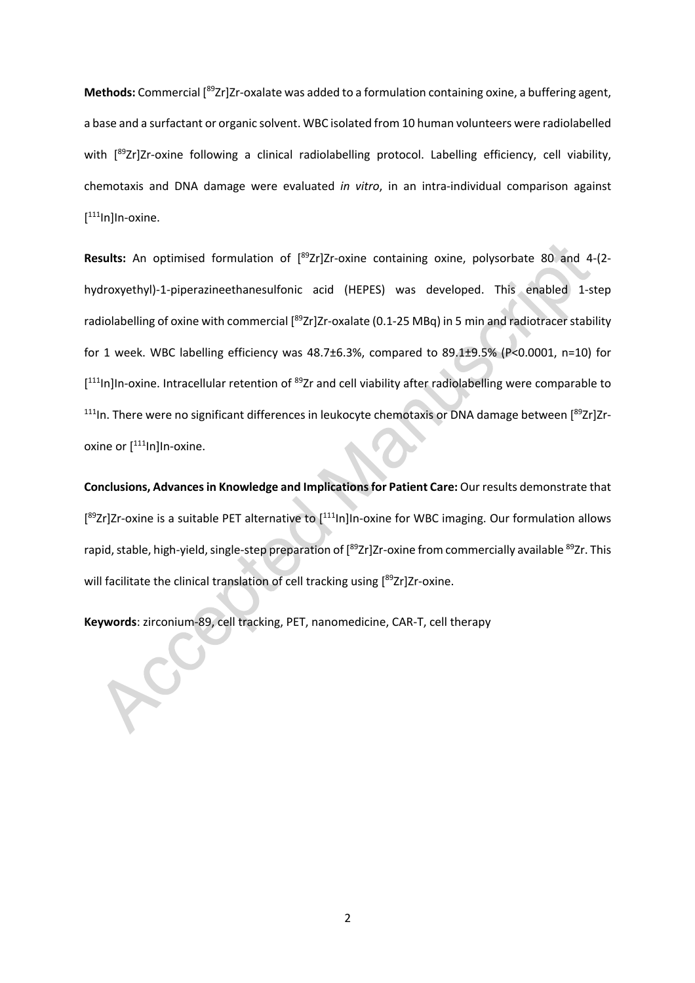Methods: Commercial [<sup>89</sup>Zr]Zr-oxalate was added to a formulation containing oxine, a buffering agent, a base and a surfactant or organic solvent. WBC isolated from 10 human volunteers were radiolabelled with [<sup>89</sup>Zr]Zr-oxine following a clinical radiolabelling protocol. Labelling efficiency, cell viability, chemotaxis and DNA damage were evaluated *in vitro*, in an intra-individual comparison against [<sup>111</sup>In]In-oxine.

Results: An optimised formulation of [<sup>89</sup>Zr]Zr-oxine containing oxine, polysorbate 80 and 4-(2hydroxyethyl)-1-piperazineethanesulfonic acid (HEPES) was developed. This enabled 1-step radiolabelling of oxine with commercial [<sup>89</sup>Zr]Zr-oxalate (0.1-25 MBq) in 5 min and radiotracer stability for 1 week. WBC labelling efficiency was 48.7±6.3%, compared to 89.1±9.5% (P<0.0001, n=10) for [<sup>111</sup>In]In-oxine. Intracellular retention of <sup>89</sup>Zr and cell viability after radiolabelling were comparable to  $^{111}$ In. There were no significant differences in leukocyte chemotaxis or DNA damage between [ $^{89}Zr$ ]Zroxine or [<sup>111</sup>In]In-oxine.

**Conclusions, Advances in Knowledge and Implications for Patient Care:** Our results demonstrate that [<sup>89</sup>Zr]Zr-oxine is a suitable PET alternative to [<sup>111</sup>ln]In-oxine for WBC imaging. Our formulation allows rapid, stable, high-yield, single-step preparation of [<sup>89</sup>Zr]Zr-oxine from commercially available <sup>89</sup>Zr. This will facilitate the clinical translation of cell tracking using [<sup>89</sup>Zr]Zr-oxine.

**Keywords**: zirconium-89, cell tracking, PET, nanomedicine, CAR-T, cell therapy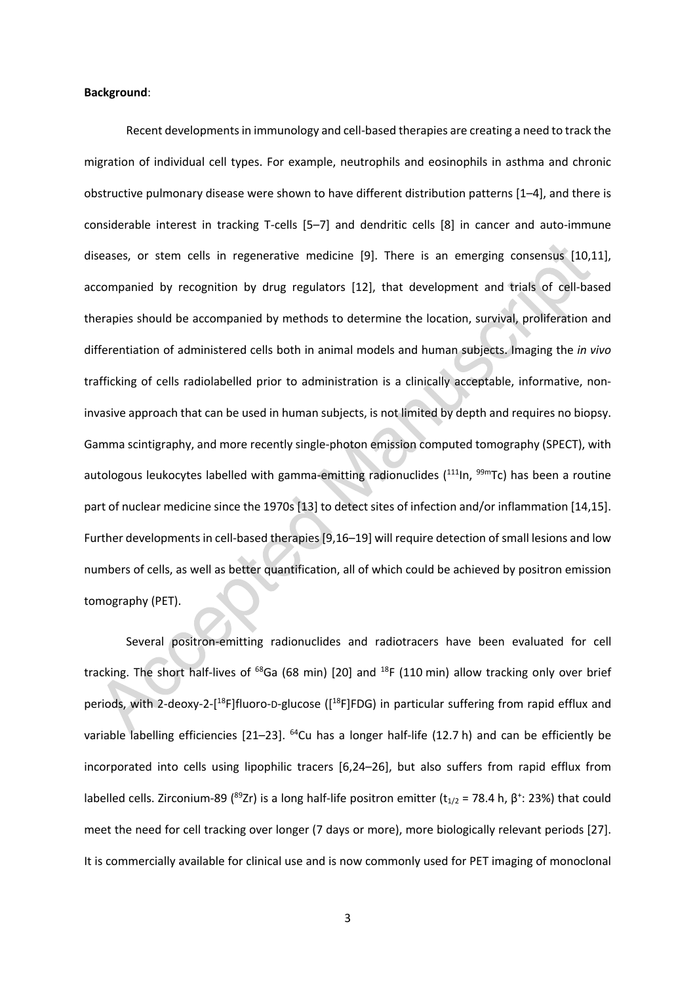#### **Background**:

Recent developments in immunology and cell-based therapies are creating a need to track the migration of individual cell types. For example, neutrophils and eosinophils in asthma and chronic obstructive pulmonary disease were shown to have different distribution patterns [1–4], and there is considerable interest in tracking T-cells [5–7] and dendritic cells [8] in cancer and auto-immune diseases, or stem cells in regenerative medicine [9]. There is an emerging consensus [10,11], accompanied by recognition by drug regulators [12], that development and trials of cell-based therapies should be accompanied by methods to determine the location, survival, proliferation and differentiation of administered cells both in animal models and human subjects. Imaging the *in vivo* trafficking of cells radiolabelled prior to administration is a clinically acceptable, informative, noninvasive approach that can be used in human subjects, is not limited by depth and requires no biopsy. Gamma scintigraphy, and more recently single-photon emission computed tomography (SPECT), with autologous leukocytes labelled with gamma-emitting radionuclides (<sup>111</sup>In, <sup>99m</sup>Tc) has been a routine part of nuclear medicine since the 1970s [13] to detect sites of infection and/or inflammation [14,15]. Further developments in cell-based therapies [9,16–19] will require detection of small lesions and low numbers of cells, as well as better quantification, all of which could be achieved by positron emission tomography (PET).

Several positron-emitting radionuclides and radiotracers have been evaluated for cell tracking. The short half-lives of  $^{68}$ Ga (68 min) [20] and  $^{18}F$  (110 min) allow tracking only over brief periods, with 2-deoxy-2-[<sup>18</sup>F]fluoro-D-glucose ([<sup>18</sup>F]FDG) in particular suffering from rapid efflux and variable labelling efficiencies [21–23]. <sup>64</sup>Cu has a longer half-life (12.7 h) and can be efficiently be incorporated into cells using lipophilic tracers [6,24–26], but also suffers from rapid efflux from labelled cells. Zirconium-89 (<sup>89</sup>Zr) is a long half-life positron emitter (t<sub>1/2</sub> = 78.4 h,  $\beta^*$ : 23%) that could meet the need for cell tracking over longer (7 days or more), more biologically relevant periods [27]. It is commercially available for clinical use and is now commonly used for PET imaging of monoclonal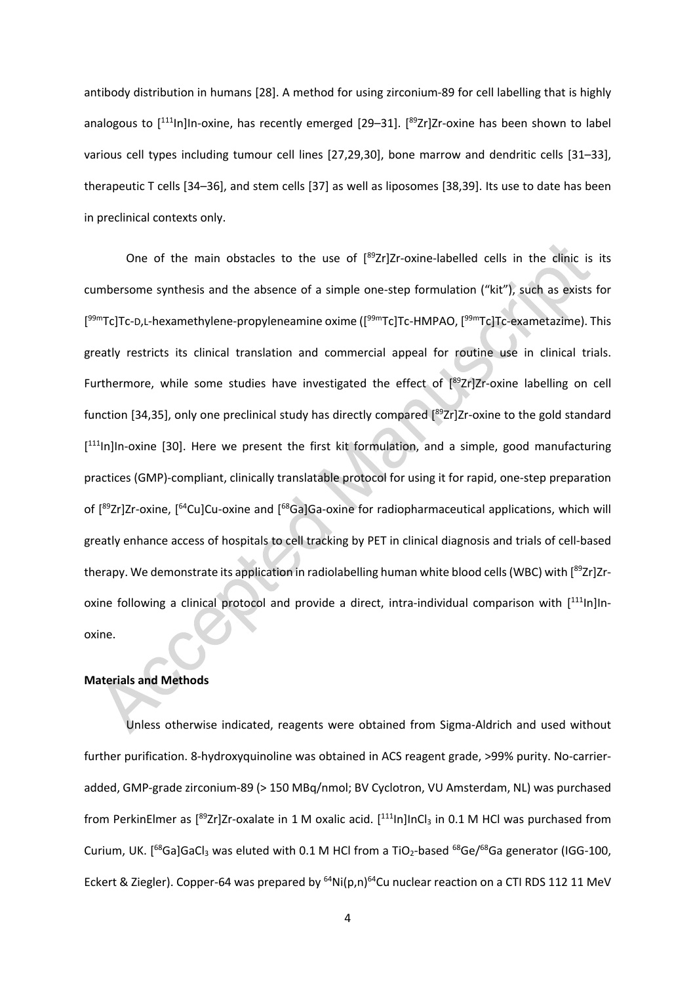antibody distribution in humans [28]. A method for using zirconium-89 for cell labelling that is highly analogous to [<sup>111</sup>ln]In-oxine, has recently emerged [29–31]. [<sup>89</sup>Zr]Zr-oxine has been shown to label various cell types including tumour cell lines [27,29,30], bone marrow and dendritic cells [31–33], therapeutic T cells [34–36], and stem cells [37] as well as liposomes [38,39]. Its use to date has been in preclinical contexts only.

One of the main obstacles to the use of  $[^{89}Zr]Zr$ -oxine-labelled cells in the clinic is its cumbersome synthesis and the absence of a simple one-step formulation ("kit"), such as exists for [<sup>99m</sup>Tc]Tc-D,L-hexamethylene-propyleneamine oxime ([<sup>99m</sup>Tc]Tc-HMPAO, [<sup>99m</sup>Tc]Tc-exametazime). This greatly restricts its clinical translation and commercial appeal for routine use in clinical trials. Furthermore, while some studies have investigated the effect of [89Zr]Zr-oxine labelling on cell function [34,35], only one preclinical study has directly compared [<sup>89</sup>Zr]Zr-oxine to the gold standard [<sup>111</sup>In]In-oxine [30]. Here we present the first kit formulation, and a simple, good manufacturing practices (GMP)-compliant, clinically translatable protocol for using it for rapid, one-step preparation of [<sup>89</sup>Zr]Zr-oxine, [<sup>64</sup>Cu]Cu-oxine and [<sup>68</sup>Ga]Ga-oxine for radiopharmaceutical applications, which will greatly enhance access of hospitals to cell tracking by PET in clinical diagnosis and trials of cell-based therapy. We demonstrate its application in radiolabelling human white blood cells (WBC) with [<sup>89</sup>Zr]Zroxine following a clinical protocol and provide a direct, intra-individual comparison with [<sup>111</sup>ln]Inoxine.

## **Materials and Methods**

Unless otherwise indicated, reagents were obtained from Sigma-Aldrich and used without further purification. 8-hydroxyquinoline was obtained in ACS reagent grade, >99% purity. No-carrieradded, GMP-grade zirconium-89 (> 150 MBq/nmol; BV Cyclotron, VU Amsterdam, NL) was purchased from PerkinElmer as  $[{}^{89}Zr]Zr$ -oxalate in 1 M oxalic acid.  $[{}^{111}$ In]InCl<sub>3</sub> in 0.1 M HCl was purchased from Curium, UK. [<sup>68</sup>Ga]GaCl<sub>3</sub> was eluted with 0.1 M HCl from a TiO<sub>2</sub>-based <sup>68</sup>Ge/<sup>68</sup>Ga generator (IGG-100, Eckert & Ziegler). Copper-64 was prepared by  $^{64}$ Ni(p,n) $^{64}$ Cu nuclear reaction on a CTI RDS 112 11 MeV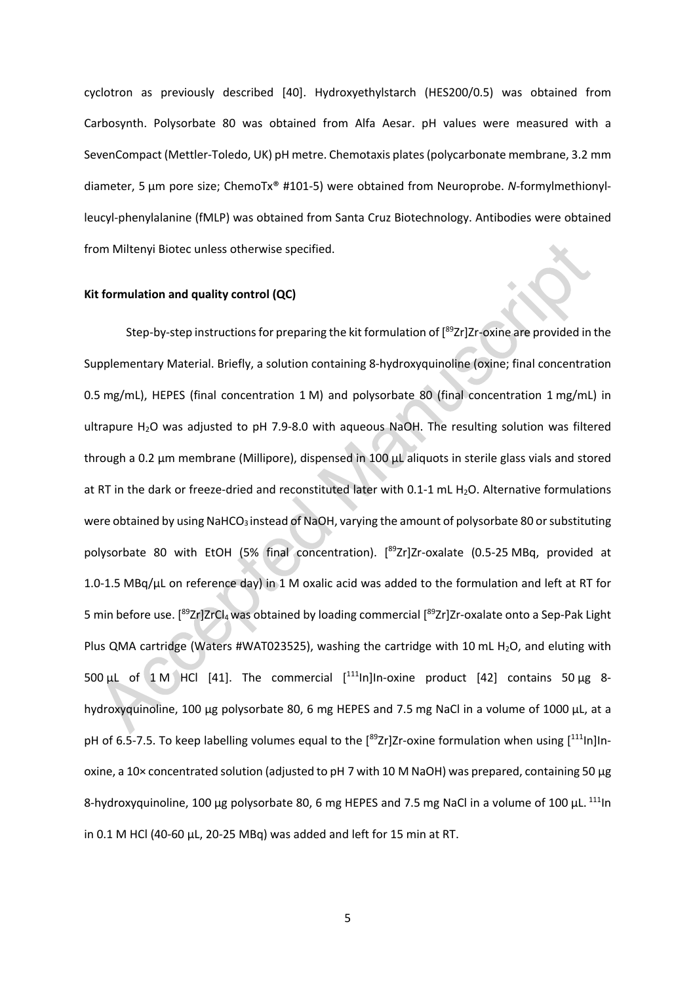cyclotron as previously described [40]. Hydroxyethylstarch (HES200/0.5) was obtained from Carbosynth. Polysorbate 80 was obtained from Alfa Aesar. pH values were measured with a SevenCompact (Mettler-Toledo, UK) pH metre. Chemotaxis plates(polycarbonate membrane, 3.2 mm diameter, 5 μm pore size; ChemoTx® #101-5) were obtained from Neuroprobe. *N*-formylmethionylleucyl-phenylalanine (fMLP) was obtained from Santa Cruz Biotechnology. Antibodies were obtained from Miltenyi Biotec unless otherwise specified.

#### **Kit formulation and quality control (QC)**

Step-by-step instructions for preparing the kit formulation of [<sup>89</sup>Zr]Zr-oxine are provided in the Supplementary Material. Briefly, a solution containing 8-hydroxyquinoline (oxine; final concentration 0.5 mg/mL), HEPES (final concentration 1 M) and polysorbate 80 (final concentration 1 mg/mL) in ultrapure H<sub>2</sub>O was adjusted to pH 7.9-8.0 with aqueous NaOH. The resulting solution was filtered through a 0.2 μm membrane (Millipore), dispensed in 100 μL aliquots in sterile glass vials and stored at RT in the dark or freeze-dried and reconstituted later with 0.1-1 mL H<sub>2</sub>O. Alternative formulations were obtained by using NaHCO<sub>3</sub> instead of NaOH, varying the amount of polysorbate 80 or substituting polysorbate 80 with EtOH (5% final concentration). [<sup>89</sup>Zr]Zr-oxalate (0.5-25 MBq, provided at 1.0-1.5 MBq/µL on reference day) in 1 M oxalic acid was added to the formulation and left at RT for 5 min before use. [<sup>89</sup>Zr]ZrCl<sub>4</sub> was obtained by loading commercial [<sup>89</sup>Zr]Zr-oxalate onto a Sep-Pak Light Plus QMA cartridge (Waters #WAT023525), washing the cartridge with 10 mL H<sub>2</sub>O, and eluting with 500 μL of 1 M HCl [41]. The commercial  $[$ <sup>111</sup>ln]In-oxine product [42] contains 50 μg 8hydroxyquinoline, 100 μg polysorbate 80, 6 mg HEPES and 7.5 mg NaCl in a volume of 1000 µL, at a pH of 6.5-7.5. To keep labelling volumes equal to the [<sup>89</sup>Zr]Zr-oxine formulation when using [<sup>111</sup>ln]Inoxine, a 10× concentrated solution (adjusted to pH 7 with 10 M NaOH) was prepared, containing 50 μg 8-hydroxyquinoline, 100 μg polysorbate 80, 6 mg HEPES and 7.5 mg NaCl in a volume of 100 μL. <sup>111</sup>ln in 0.1 M HCl (40-60 µL, 20-25 MBq) was added and left for 15 min at RT.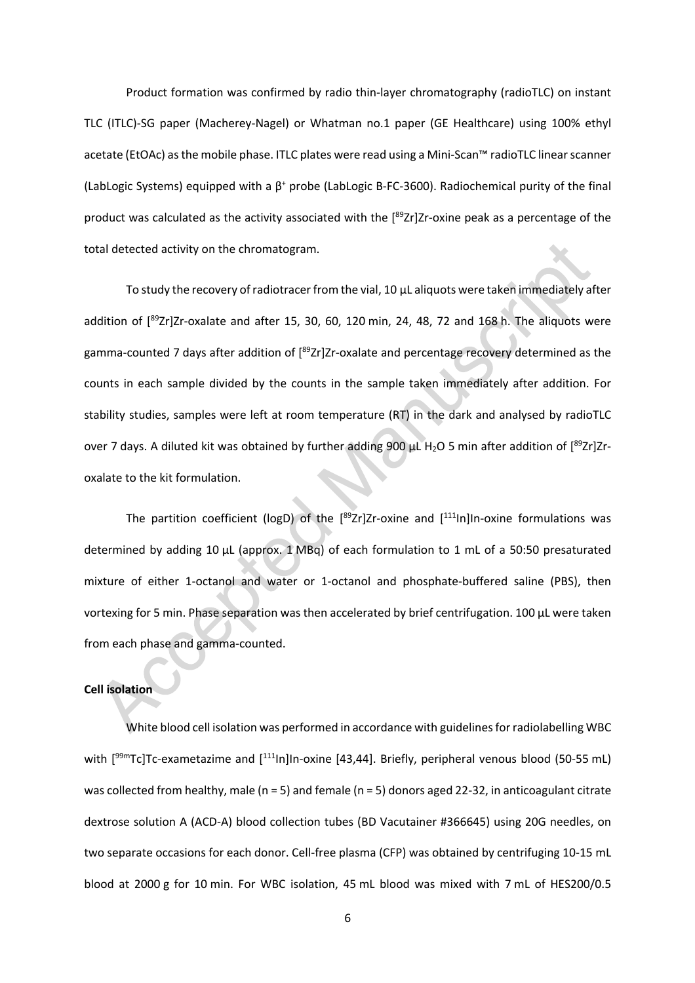Product formation was confirmed by radio thin-layer chromatography (radioTLC) on instant TLC (ITLC)-SG paper (Macherey-Nagel) or Whatman no.1 paper (GE Healthcare) using 100% ethyl acetate (EtOAc) asthe mobile phase. ITLC plates were read using a Mini-Scan™ radioTLC linear scanner (LabLogic Systems) equipped with a  $\beta^+$  probe (LabLogic B-FC-3600). Radiochemical purity of the final product was calculated as the activity associated with the [89Zr]Zr-oxine peak as a percentage of the total detected activity on the chromatogram.

To study the recovery of radiotracer from the vial, 10 μL aliquots were taken immediately after addition of [<sup>89</sup>Zr]Zr-oxalate and after 15, 30, 60, 120 min, 24, 48, 72 and 168 h. The aliquots were gamma-counted 7 days after addition of [<sup>89</sup>Zr]Zr-oxalate and percentage recovery determined as the counts in each sample divided by the counts in the sample taken immediately after addition. For stability studies, samples were left at room temperature (RT) in the dark and analysed by radioTLC over 7 days. A diluted kit was obtained by further adding 900  $\mu$ L H<sub>2</sub>O 5 min after addition of [<sup>89</sup>Zr]Zroxalate to the kit formulation.

The partition coefficient (logD) of the  $[892r]Zr$ -oxine and  $[111]$ In-oxine formulations was determined by adding 10 µL (approx. 1 MBq) of each formulation to 1 mL of a 50:50 presaturated mixture of either 1-octanol and water or 1-octanol and phosphate-buffered saline (PBS), then vortexing for 5 min. Phase separation was then accelerated by brief centrifugation. 100 µL were taken from each phase and gamma-counted.

# **Cell isolation**

White blood cell isolation was performed in accordance with guidelines for radiolabelling WBC with [<sup>99m</sup>Tc]Tc-exametazime and [<sup>111</sup>In]In-oxine [43,44]. Briefly, peripheral venous blood (50-55 mL) was collected from healthy, male (n = 5) and female (n = 5) donors aged 22-32, in anticoagulant citrate dextrose solution A (ACD-A) blood collection tubes (BD Vacutainer #366645) using 20G needles, on two separate occasions for each donor. Cell-free plasma (CFP) was obtained by centrifuging 10-15 mL blood at 2000 g for 10 min. For WBC isolation, 45 mL blood was mixed with 7 mL of HES200/0.5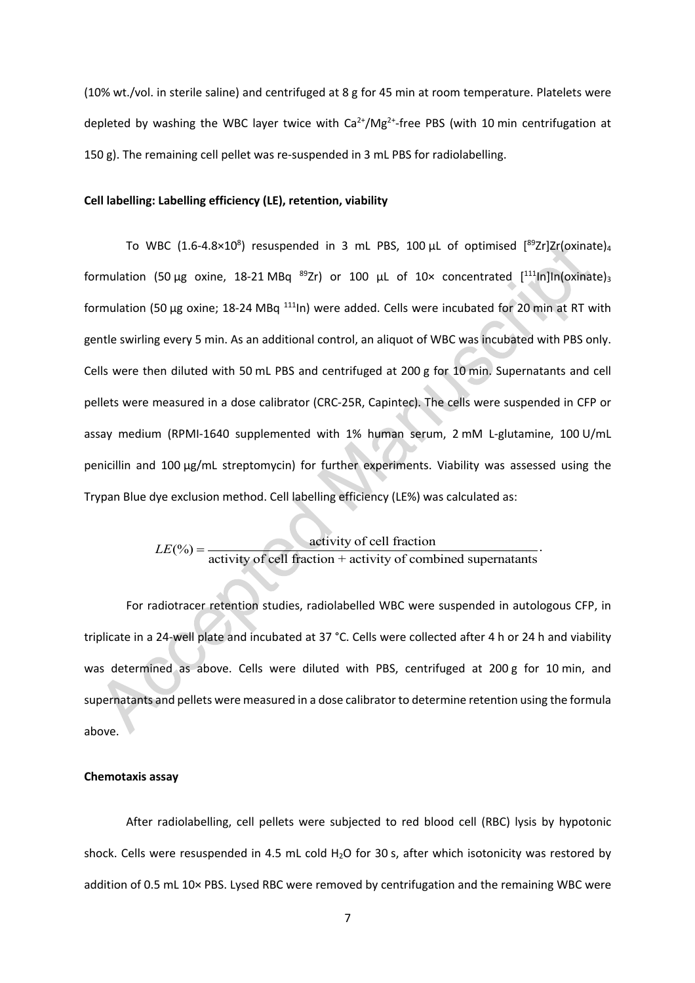(10% wt./vol. in sterile saline) and centrifuged at 8 g for 45 min at room temperature. Platelets were depleted by washing the WBC layer twice with  $Ca^{2+}/Mg^{2+}$ -free PBS (with 10 min centrifugation at 150 g). The remaining cell pellet was re-suspended in 3 mL PBS for radiolabelling.

# **Cell labelling: Labelling efficiency (LE), retention, viability**

To WBC (1.6-4.8×10<sup>8</sup>) resuspended in 3 mL PBS, 100  $\mu$ L of optimised [<sup>89</sup>Zr]Zr(oxinate)<sub>4</sub> formulation (50 µg oxine, 18-21 MBq <sup>89</sup>Zr) or 100 µL of 10× concentrated [<sup>111</sup>In]In(oxinate)<sub>3</sub> formulation (50 µg oxine; 18-24 MBq <sup>111</sup>ln) were added. Cells were incubated for 20 min at RT with gentle swirling every 5 min. As an additional control, an aliquot of WBC was incubated with PBS only. Cells were then diluted with 50 mL PBS and centrifuged at 200 g for 10 min. Supernatants and cell pellets were measured in a dose calibrator (CRC-25R, Capintec). The cells were suspended in CFP or assay medium (RPMI-1640 supplemented with 1% human serum, 2 mM L-glutamine, 100 U/mL penicillin and 100 µg/mL streptomycin) for further experiments. Viability was assessed using the Trypan Blue dye exclusion method. Cell labelling efficiency (LE%) was calculated as:

 $LE(\%) = \frac{\text{activity of cell fraction}}{\text{activity of cell fraction} + \text{activity of combined supernatants}}$ 

For radiotracer retention studies, radiolabelled WBC were suspended in autologous CFP, in triplicate in a 24-well plate and incubated at 37 °C. Cells were collected after 4 h or 24 h and viability was determined as above. Cells were diluted with PBS, centrifuged at 200 g for 10 min, and supernatants and pellets were measured in a dose calibrator to determine retention using the formula above.

#### **Chemotaxis assay**

After radiolabelling, cell pellets were subjected to red blood cell (RBC) lysis by hypotonic shock. Cells were resuspended in 4.5 mL cold  $H_2O$  for 30 s, after which isotonicity was restored by addition of 0.5 mL 10× PBS. Lysed RBC were removed by centrifugation and the remaining WBC were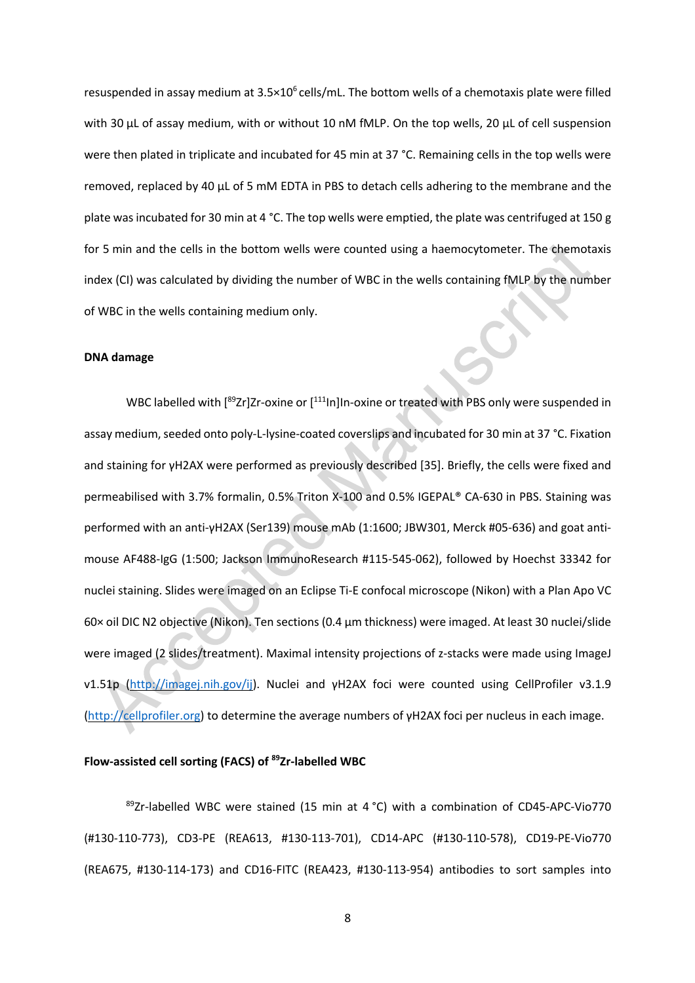resuspended in assay medium at  $3.5 \times 10^6$  cells/mL. The bottom wells of a chemotaxis plate were filled with 30 µL of assay medium, with or without 10 nM fMLP. On the top wells, 20 µL of cell suspension were then plated in triplicate and incubated for 45 min at 37 °C. Remaining cells in the top wells were removed, replaced by 40 µL of 5 mM EDTA in PBS to detach cells adhering to the membrane and the plate was incubated for 30 min at 4 °C. The top wells were emptied, the plate was centrifuged at 150 g for 5 min and the cells in the bottom wells were counted using a haemocytometer. The chemotaxis index (CI) was calculated by dividing the number of WBC in the wells containing fMLP by the number of WBC in the wells containing medium only.

#### **DNA damage**

WBC labelled with [<sup>89</sup>Zr]Zr-oxine or [<sup>111</sup>In]In-oxine or treated with PBS only were suspended in assay medium, seeded onto poly-L-lysine-coated coverslips and incubated for 30 min at 37 °C. Fixation and staining for γH2AX were performed as previously described [35]. Briefly, the cells were fixed and permeabilised with 3.7% formalin, 0.5% Triton X-100 and 0.5% IGEPAL® CA-630 in PBS. Staining was performed with an anti-γH2AX (Ser139) mouse mAb (1:1600; JBW301, Merck #05-636) and goat antimouse AF488-IgG (1:500; Jackson ImmunoResearch #115-545-062), followed by Hoechst 33342 for nuclei staining. Slides were imaged on an Eclipse Ti-E confocal microscope (Nikon) with a Plan Apo VC 60× oil DIC N2 objective (Nikon). Ten sections (0.4 μm thickness) were imaged. At least 30 nuclei/slide were imaged (2 slides/treatment). Maximal intensity projections of z-stacks were made using ImageJ v1.51p (http://imagej.nih.gov/ij). Nuclei and γH2AX foci were counted using CellProfiler v3.1.9 (http://cellprofiler.org) to determine the average numbers of γH2AX foci per nucleus in each image.

## **Flow-assisted cell sorting (FACS) of 89Zr-labelled WBC**

 $89Zr$ -labelled WBC were stained (15 min at 4 °C) with a combination of CD45-APC-Vio770 (#130-110-773), CD3-PE (REA613, #130-113-701), CD14-APC (#130-110-578), CD19-PE-Vio770 (REA675, #130-114-173) and CD16-FITC (REA423, #130-113-954) antibodies to sort samples into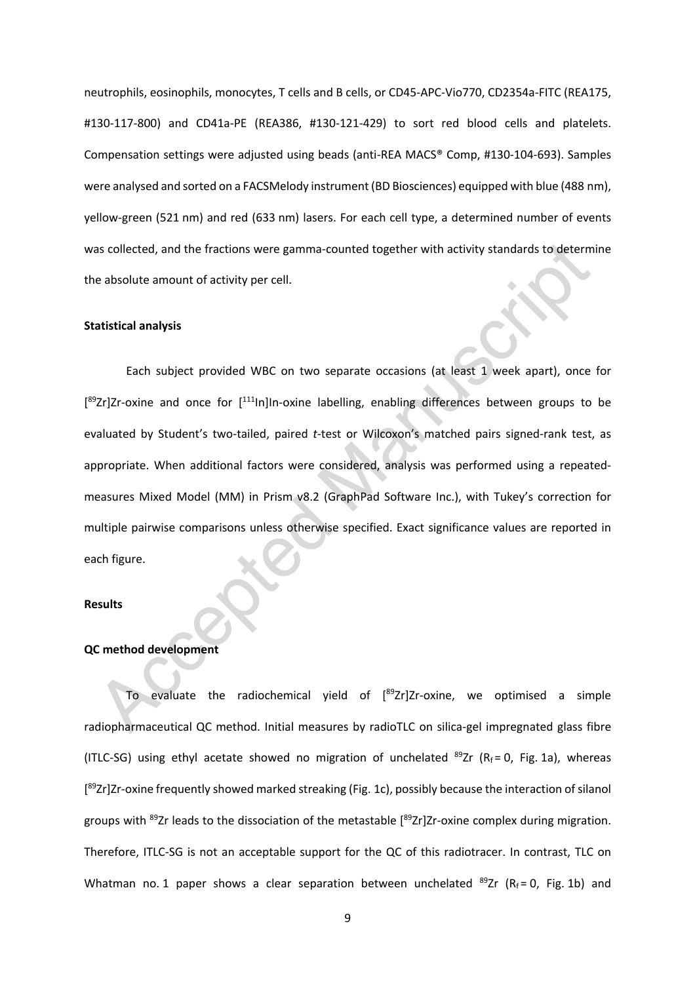neutrophils, eosinophils, monocytes, T cells and B cells, or CD45-APC-Vio770, CD2354a-FITC (REA175, #130-117-800) and CD41a-PE (REA386, #130-121-429) to sort red blood cells and platelets. Compensation settings were adjusted using beads (anti-REA MACS® Comp, #130-104-693). Samples were analysed and sorted on a FACSMelody instrument (BD Biosciences) equipped with blue (488 nm), yellow-green (521 nm) and red (633 nm) lasers. For each cell type, a determined number of events was collected, and the fractions were gamma-counted together with activity standards to determine the absolute amount of activity per cell.

#### **Statistical analysis**

Each subject provided WBC on two separate occasions (at least 1 week apart), once for [<sup>89</sup>Zr]Zr-oxine and once for [<sup>111</sup>In]In-oxine labelling, enabling differences between groups to be evaluated by Student's two-tailed, paired *t*-test or Wilcoxon's matched pairs signed-rank test, as appropriate. When additional factors were considered, analysis was performed using a repeatedmeasures Mixed Model (MM) in Prism v8.2 (GraphPad Software Inc.), with Tukey's correction for multiple pairwise comparisons unless otherwise specified. Exact significance values are reported in each figure.

#### **Results**

#### **QC method development**

To evaluate the radiochemical yield of [<sup>89</sup>Zr]Zr-oxine, we optimised a simple radiopharmaceutical QC method. Initial measures by radioTLC on silica-gel impregnated glass fibre (ITLC-SG) using ethyl acetate showed no migration of unchelated  $^{89}Zr$  (R<sub>f</sub> = 0, Fig. 1a), whereas [<sup>89</sup>Zr]Zr-oxine frequently showed marked streaking (Fig. 1c), possibly because the interaction of silanol groups with <sup>89</sup>Zr leads to the dissociation of the metastable [<sup>89</sup>Zr]Zr-oxine complex during migration. Therefore, ITLC-SG is not an acceptable support for the QC of this radiotracer. In contrast, TLC on Whatman no. 1 paper shows a clear separation between unchelated  $^{89}Zr$  (R<sub>f</sub> = 0, Fig. 1b) and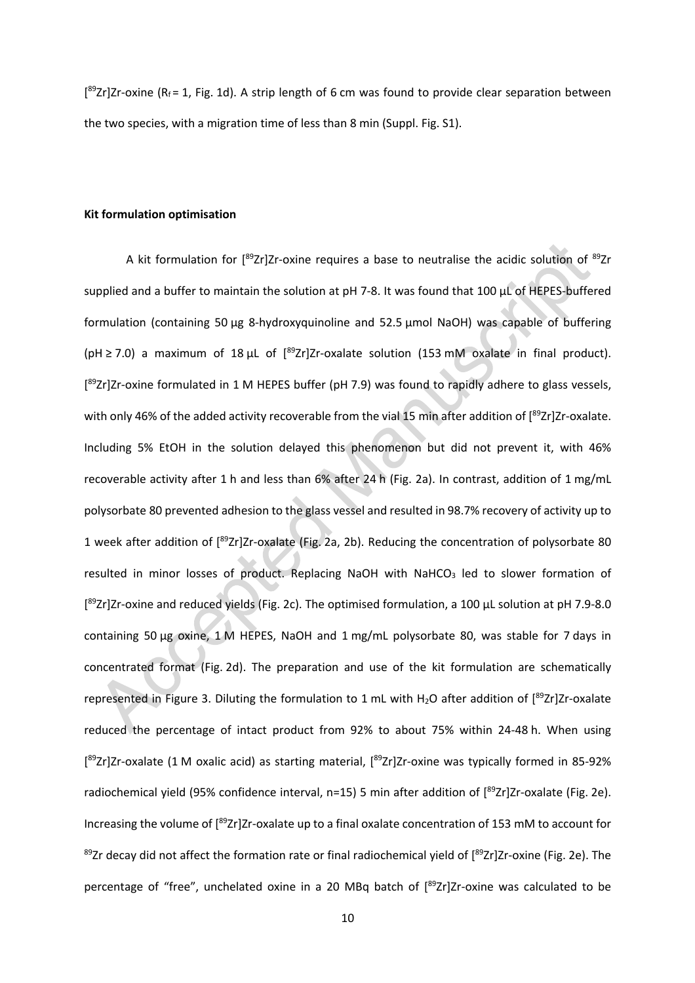$[$ <sup>89</sup>Zr]Zr-oxine (R<sub>f</sub> = 1, Fig. 1d). A strip length of 6 cm was found to provide clear separation between the two species, with a migration time of less than 8 min (Suppl. Fig. S1).

## **Kit formulation optimisation**

A kit formulation for [<sup>89</sup>Zr]Zr-oxine requires a base to neutralise the acidic solution of <sup>89</sup>Zr supplied and a buffer to maintain the solution at pH 7-8. It was found that 100 µL of HEPES-buffered formulation (containing 50 µg 8-hydroxyquinoline and 52.5 μmol NaOH) was capable of buffering ( $pH$  ≥ 7.0) a maximum of 18  $\mu$ L of  $[{}^{89}Zr]Zr$ -oxalate solution (153 mM oxalate in final product). [<sup>89</sup>Zr]Zr-oxine formulated in 1 M HEPES buffer (pH 7.9) was found to rapidly adhere to glass vessels, with only 46% of the added activity recoverable from the vial 15 min after addition of [<sup>89</sup>Zr]Zr-oxalate. Including 5% EtOH in the solution delayed this phenomenon but did not prevent it, with 46% recoverable activity after 1 h and less than 6% after 24 h (Fig. 2a). In contrast, addition of 1 mg/mL polysorbate 80 prevented adhesion to the glass vessel and resulted in 98.7% recovery of activity up to 1 week after addition of [<sup>89</sup>Zr]Zr-oxalate (Fig. 2a, 2b). Reducing the concentration of polysorbate 80 resulted in minor losses of product. Replacing NaOH with NaHCO<sub>3</sub> led to slower formation of [<sup>89</sup>Zr]Zr-oxine and reduced yields (Fig. 2c). The optimised formulation, a 100 µL solution at pH 7.9-8.0 containing 50 μg oxine, 1 M HEPES, NaOH and 1 mg/mL polysorbate 80, was stable for 7 days in concentrated format (Fig. 2d). The preparation and use of the kit formulation are schematically represented in Figure 3. Diluting the formulation to 1 mL with H<sub>2</sub>O after addition of  $[^{89}Zr]Zr$ -oxalate reduced the percentage of intact product from 92% to about 75% within 24-48 h. When using [<sup>89</sup>Zr]Zr-oxalate (1 M oxalic acid) as starting material, [<sup>89</sup>Zr]Zr-oxine was typically formed in 85-92% radiochemical yield (95% confidence interval, n=15) 5 min after addition of [<sup>89</sup>Zr]Zr-oxalate (Fig. 2e). Increasing the volume of [<sup>89</sup>Zr]Zr-oxalate up to a final oxalate concentration of 153 mM to account for <sup>89</sup>Zr decay did not affect the formation rate or final radiochemical yield of [<sup>89</sup>Zr]Zr-oxine (Fig. 2e). The percentage of "free", unchelated oxine in a 20 MBq batch of [<sup>89</sup>Zr]Zr-oxine was calculated to be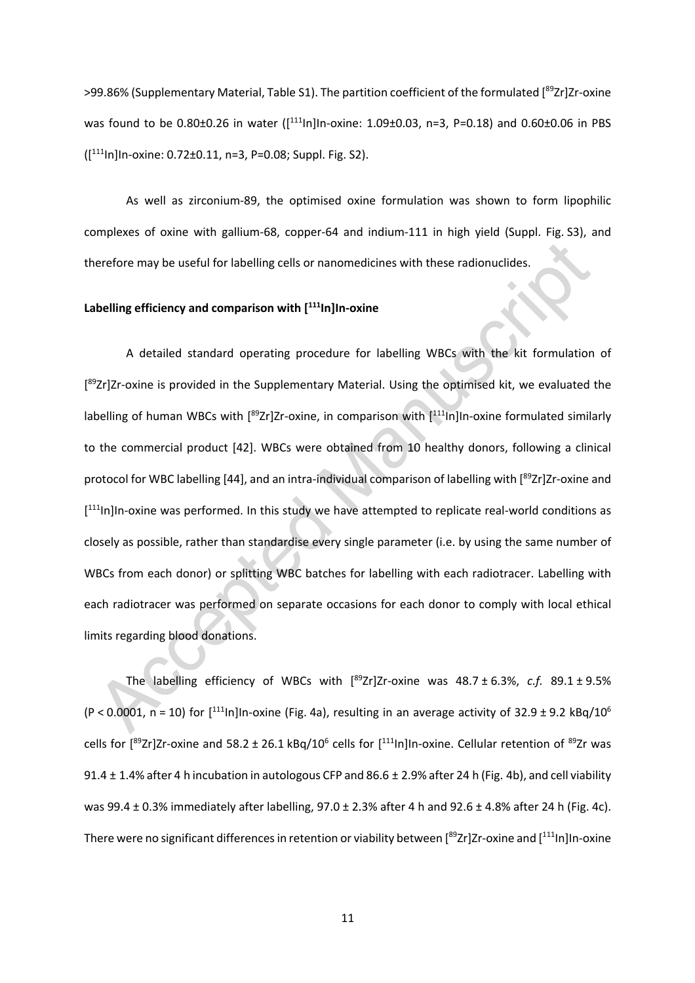>99.86% (Supplementary Material, Table S1). The partition coefficient of the formulated [<sup>89</sup>Zr]Zr-oxine was found to be 0.80±0.26 in water ([<sup>111</sup>In]In-oxine: 1.09±0.03, n=3, P=0.18) and 0.60±0.06 in PBS ([ 111In]In-oxine: 0.72±0.11, n=3, P=0.08; Suppl. Fig. S2).

As well as zirconium-89, the optimised oxine formulation was shown to form lipophilic complexes of oxine with gallium-68, copper-64 and indium-111 in high yield (Suppl. Fig. S3), and therefore may be useful for labelling cells or nanomedicines with these radionuclides.

## **Labelling efficiency and comparison with [ 111In]In-oxine**

A detailed standard operating procedure for labelling WBCs with the kit formulation of [<sup>89</sup>Zr]Zr-oxine is provided in the Supplementary Material. Using the optimised kit, we evaluated the labelling of human WBCs with [<sup>89</sup>Zr]Zr-oxine, in comparison with [<sup>111</sup>In]In-oxine formulated similarly to the commercial product [42]. WBCs were obtained from 10 healthy donors, following a clinical protocol for WBC labelling [44], and an intra-individual comparison of labelling with [<sup>89</sup>Zr]Zr-oxine and [<sup>111</sup>In]In-oxine was performed. In this study we have attempted to replicate real-world conditions as closely as possible, rather than standardise every single parameter (i.e. by using the same number of WBCs from each donor) or splitting WBC batches for labelling with each radiotracer. Labelling with each radiotracer was performed on separate occasions for each donor to comply with local ethical limits regarding blood donations.

The labelling efficiency of WBCs with [ 89Zr]Zr-oxine was 48.7 ± 6.3%, *c.f.* 89.1 ± 9.5% (P < 0.0001, n = 10) for  $[$ <sup>111</sup>ln]In-oxine (Fig. 4a), resulting in an average activity of 32.9 ± 9.2 kBq/10<sup>6</sup> cells for  $[^{89}Zr]Zr$ -oxine and 58.2 ± 26.1 kBq/10<sup>6</sup> cells for  $[^{111}$ In]In-oxine. Cellular retention of  $^{89}Zr$  was 91.4 ± 1.4% after 4 h incubation in autologous CFP and 86.6 ± 2.9% after 24 h (Fig. 4b), and cell viability was 99.4 ± 0.3% immediately after labelling, 97.0 ± 2.3% after 4 h and 92.6 ± 4.8% after 24 h (Fig. 4c). There were no significant differences in retention or viability between [<sup>89</sup>Zr]Zr-oxine and [<sup>111</sup>In]In-oxine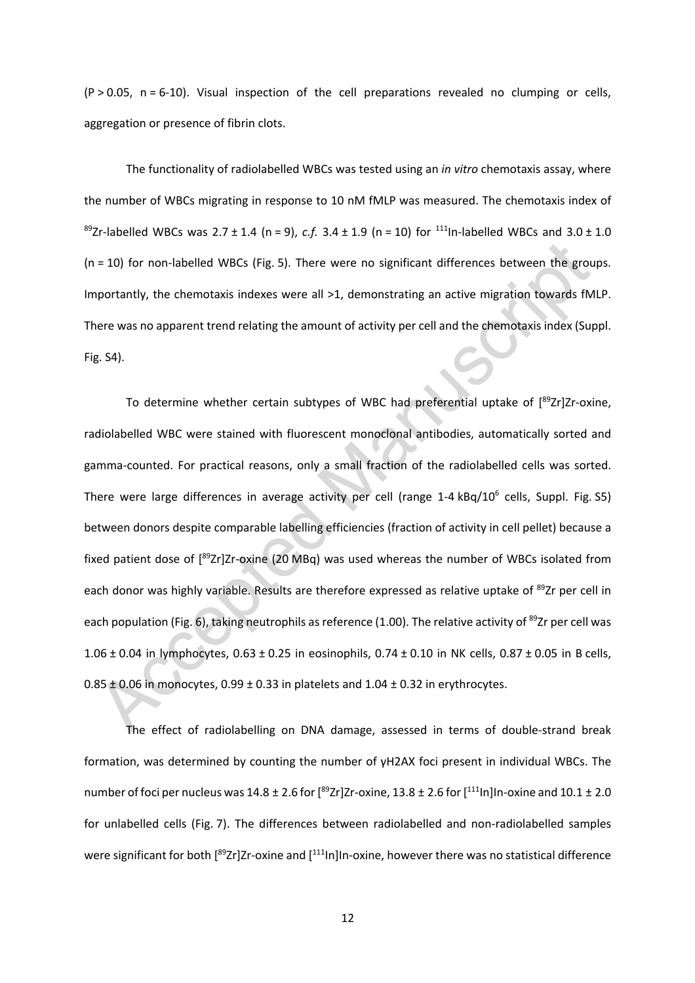$(P > 0.05, n = 6-10)$ . Visual inspection of the cell preparations revealed no clumping or cells, aggregation or presence of fibrin clots.

The functionality of radiolabelled WBCs was tested using an *in vitro* chemotaxis assay, where the number of WBCs migrating in response to 10 nM fMLP was measured. The chemotaxis index of <sup>89</sup>Zr-labelled WBCs was  $2.7 \pm 1.4$  (n = 9), *c.f.*  $3.4 \pm 1.9$  (n = 10) for <sup>111</sup>ln-labelled WBCs and  $3.0 \pm 1.0$ (n = 10) for non-labelled WBCs (Fig. 5). There were no significant differences between the groups. Importantly, the chemotaxis indexes were all >1, demonstrating an active migration towards fMLP. There was no apparent trend relating the amount of activity per cell and the chemotaxis index (Suppl. Fig. S4).

To determine whether certain subtypes of WBC had preferential uptake of [89Zr]Zr-oxine, radiolabelled WBC were stained with fluorescent monoclonal antibodies, automatically sorted and gamma-counted. For practical reasons, only a small fraction of the radiolabelled cells was sorted. There were large differences in average activity per cell (range 1-4 kBq/10<sup>6</sup> cells, Suppl. Fig. S5) between donors despite comparable labelling efficiencies (fraction of activity in cell pellet) because a fixed patient dose of [<sup>89</sup>Zr]Zr-oxine (20 MBq) was used whereas the number of WBCs isolated from each donor was highly variable. Results are therefore expressed as relative uptake of <sup>89</sup>Zr per cell in each population (Fig. 6), taking neutrophils as reference (1.00). The relative activity of <sup>89</sup>Zr per cell was 1.06 ± 0.04 in lymphocytes, 0.63 ± 0.25 in eosinophils, 0.74 ± 0.10 in NK cells, 0.87 ± 0.05 in B cells,  $0.85 \pm 0.06$  in monocytes,  $0.99 \pm 0.33$  in platelets and  $1.04 \pm 0.32$  in erythrocytes.

The effect of radiolabelling on DNA damage, assessed in terms of double-strand break formation, was determined by counting the number of γH2AX foci present in individual WBCs. The number of foci per nucleus was  $14.8 \pm 2.6$  for [ $^{89}$ Zr]Zr-oxine, 13.8  $\pm$  2.6 for [ $^{111}$ In]In-oxine and 10.1  $\pm$  2.0 for unlabelled cells (Fig. 7). The differences between radiolabelled and non-radiolabelled samples were significant for both [<sup>89</sup>Zr]Zr-oxine and [<sup>111</sup>In]In-oxine, however there was no statistical difference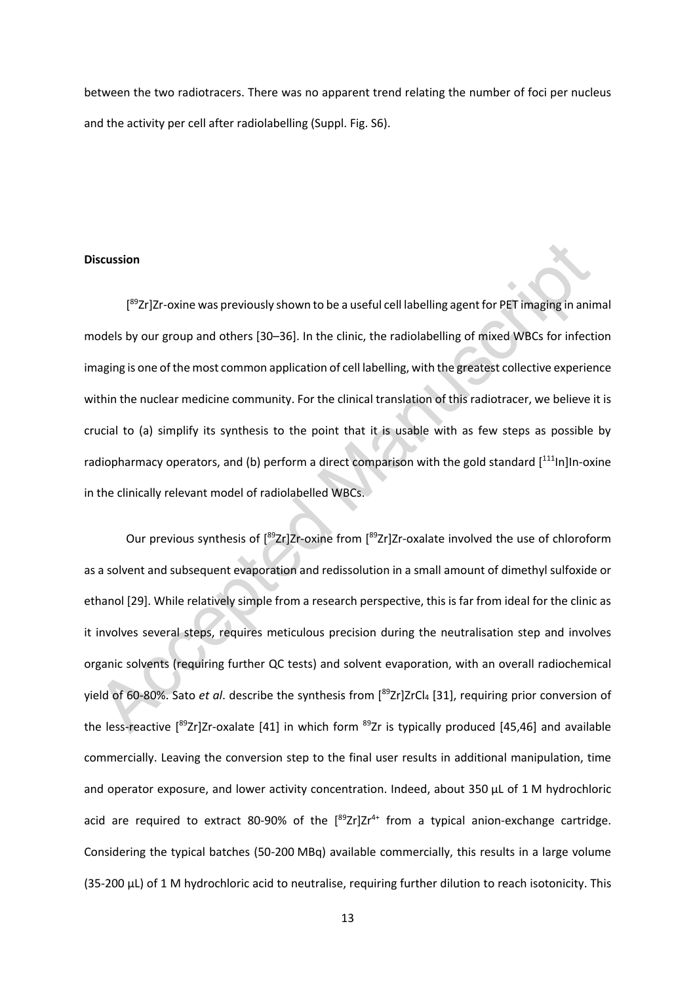between the two radiotracers. There was no apparent trend relating the number of foci per nucleus and the activity per cell after radiolabelling (Suppl. Fig. S6).

#### **Discussion**

[<sup>89</sup>Zr]Zr-oxine was previously shown to be a useful cell labelling agent for PET imaging in animal models by our group and others [30–36]. In the clinic, the radiolabelling of mixed WBCs for infection imaging is one of the most common application of cell labelling, with the greatest collective experience within the nuclear medicine community. For the clinical translation of this radiotracer, we believe it is crucial to (a) simplify its synthesis to the point that it is usable with as few steps as possible by radiopharmacy operators, and (b) perform a direct comparison with the gold standard [<sup>111</sup>ln]In-oxine in the clinically relevant model of radiolabelled WBCs.

Our previous synthesis of [<sup>89</sup>Zr]Zr-oxine from [<sup>89</sup>Zr]Zr-oxalate involved the use of chloroform as a solvent and subsequent evaporation and redissolution in a small amount of dimethyl sulfoxide or ethanol [29]. While relatively simple from a research perspective, this is far from ideal for the clinic as it involves several steps, requires meticulous precision during the neutralisation step and involves organic solvents (requiring further QC tests) and solvent evaporation, with an overall radiochemical yield of 60-80%. Sato *et al*. describe the synthesis from [ 89Zr]ZrCl4 [31], requiring prior conversion of the less-reactive [<sup>89</sup>Zr]Zr-oxalate [41] in which form <sup>89</sup>Zr is typically produced [45,46] and available commercially. Leaving the conversion step to the final user results in additional manipulation, time and operator exposure, and lower activity concentration. Indeed, about 350 µL of 1 M hydrochloric acid are required to extract 80-90% of the  $[{}^{89}Zr]Zr^{4+}$  from a typical anion-exchange cartridge. Considering the typical batches (50-200 MBq) available commercially, this results in a large volume (35-200 µL) of 1 M hydrochloric acid to neutralise, requiring further dilution to reach isotonicity. This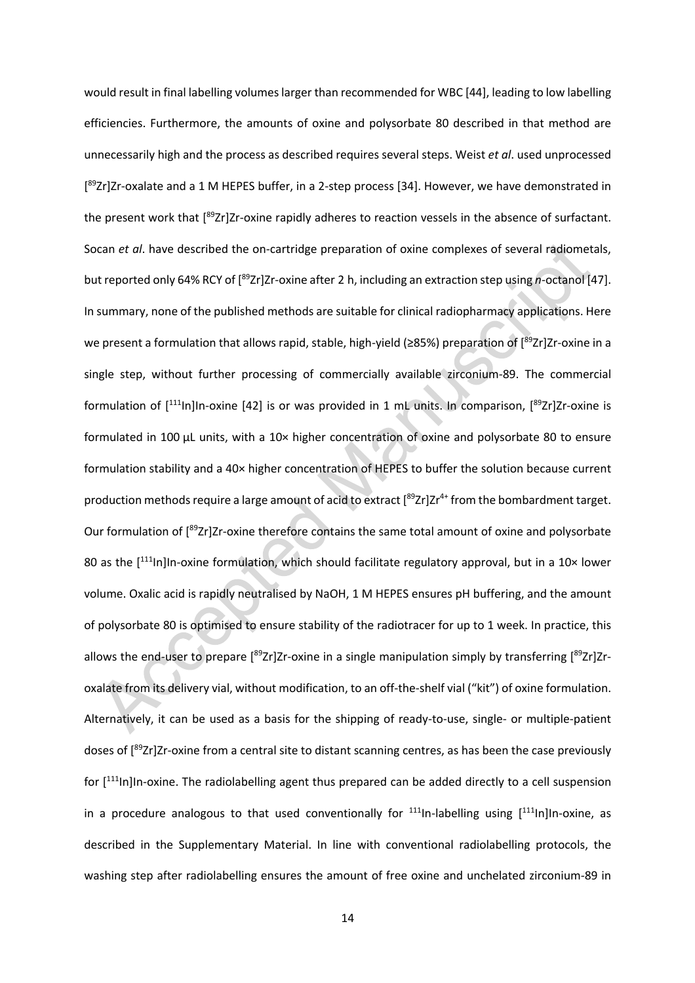would result in final labelling volumes larger than recommended for WBC [44], leading to low labelling efficiencies. Furthermore, the amounts of oxine and polysorbate 80 described in that method are unnecessarily high and the process as described requires several steps. Weist *et al*. used unprocessed [<sup>89</sup>Zr]Zr-oxalate and a 1 M HEPES buffer, in a 2-step process [34]. However, we have demonstrated in the present work that [<sup>89</sup>Zr]Zr-oxine rapidly adheres to reaction vessels in the absence of surfactant. Socan *et al*. have described the on-cartridge preparation of oxine complexes of several radiometals, but reported only 64% RCY of [<sup>89</sup>Zr]Zr-oxine after 2 h, including an extraction step using *n*-octanol [47]. In summary, none of the published methods are suitable for clinical radiopharmacy applications. Here we present a formulation that allows rapid, stable, high-yield (≥85%) preparation of [<sup>89</sup>Zr]Zr-oxine in a single step, without further processing of commercially available zirconium-89. The commercial formulation of [<sup>111</sup>In]In-oxine [42] is or was provided in 1 mL units. In comparison, [<sup>89</sup>Zr]Zr-oxine is formulated in 100 µL units, with a 10× higher concentration of oxine and polysorbate 80 to ensure formulation stability and a 40× higher concentration of HEPES to buffer the solution because current production methods require a large amount of acid to extract  $[^{89}Zr]Zr^{4+}$  from the bombardment target. Our formulation of [89Zr]Zr-oxine therefore contains the same total amount of oxine and polysorbate 80 as the [111<sub>In]</sub>In-oxine formulation, which should facilitate regulatory approval, but in a 10× lower volume. Oxalic acid is rapidly neutralised by NaOH, 1 M HEPES ensures pH buffering, and the amount of polysorbate 80 is optimised to ensure stability of the radiotracer for up to 1 week. In practice, this allows the end-user to prepare [<sup>89</sup>Zr]Zr-oxine in a single manipulation simply by transferring [<sup>89</sup>Zr]Zroxalate from its delivery vial, without modification, to an off-the-shelf vial ("kit") of oxine formulation. Alternatively, it can be used as a basis for the shipping of ready-to-use, single- or multiple-patient doses of [<sup>89</sup>Zr]Zr-oxine from a central site to distant scanning centres, as has been the case previously for [<sup>111</sup>In]In-oxine. The radiolabelling agent thus prepared can be added directly to a cell suspension in a procedure analogous to that used conventionally for  $111$ In-labelling using  $[111]$ In-oxine, as described in the Supplementary Material. In line with conventional radiolabelling protocols, the washing step after radiolabelling ensures the amount of free oxine and unchelated zirconium-89 in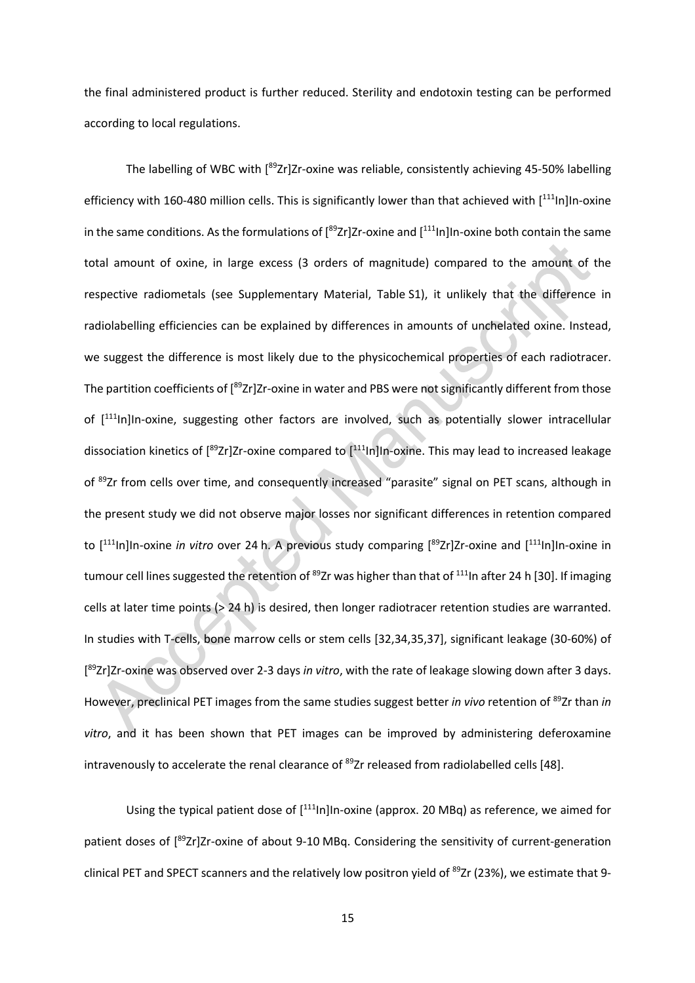the final administered product is further reduced. Sterility and endotoxin testing can be performed according to local regulations.

The labelling of WBC with [<sup>89</sup>Zr]Zr-oxine was reliable, consistently achieving 45-50% labelling efficiency with 160-480 million cells. This is significantly lower than that achieved with [<sup>111</sup>In]In-oxine in the same conditions. As the formulations of  $[{}^{89}Zr]Zr$ -oxine and  $[{}^{111}$ In]In-oxine both contain the same total amount of oxine, in large excess (3 orders of magnitude) compared to the amount of the respective radiometals (see Supplementary Material, Table S1), it unlikely that the difference in radiolabelling efficiencies can be explained by differences in amounts of unchelated oxine. Instead, we suggest the difference is most likely due to the physicochemical properties of each radiotracer. The partition coefficients of [<sup>89</sup>Zr]Zr-oxine in water and PBS were not significantly different from those of [<sup>111</sup>In]In-oxine, suggesting other factors are involved, such as potentially slower intracellular dissociation kinetics of [<sup>89</sup>Zr]Zr-oxine compared to [<sup>111</sup>ln]In-oxine. This may lead to increased leakage of 89Zr from cells over time, and consequently increased "parasite" signal on PET scans, although in the present study we did not observe major losses nor significant differences in retention compared to [<sup>111</sup>In]In-oxine *in vitro* over 24 h. A previous study comparing [<sup>89</sup>Zr]Zr-oxine and [<sup>111</sup>In]In-oxine in tumour cell lines suggested the retention of <sup>89</sup>Zr was higher than that of <sup>111</sup>In after 24 h [30]. If imaging cells at later time points (> 24 h) is desired, then longer radiotracer retention studies are warranted. In studies with T-cells, bone marrow cells or stem cells [32,34,35,37], significant leakage (30-60%) of [ 89Zr]Zr-oxine was observed over 2-3 days *in vitro*, with the rate of leakage slowing down after 3 days. However, preclinical PET images from the same studies suggest better *in vivo* retention of <sup>89</sup>Zr than *in vitro*, and it has been shown that PET images can be improved by administering deferoxamine intravenously to accelerate the renal clearance of <sup>89</sup>Zr released from radiolabelled cells [48].

Using the typical patient dose of [<sup>111</sup>In]In-oxine (approx. 20 MBq) as reference, we aimed for patient doses of [<sup>89</sup>Zr]Zr-oxine of about 9-10 MBq. Considering the sensitivity of current-generation clinical PET and SPECT scanners and the relatively low positron yield of <sup>89</sup>Zr (23%), we estimate that 9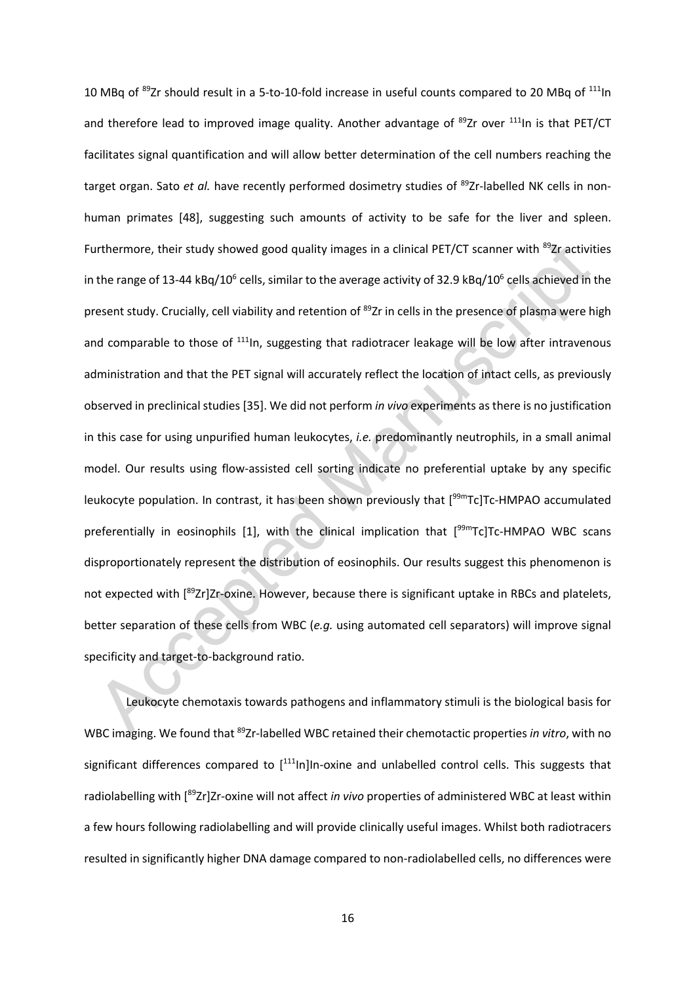10 MBq of <sup>89</sup>Zr should result in a 5-to-10-fold increase in useful counts compared to 20 MBq of <sup>111</sup>ln and therefore lead to improved image quality. Another advantage of  $89Zr$  over  $111$ In is that PET/CT facilitates signal quantification and will allow better determination of the cell numbers reaching the target organ. Sato *et al.* have recently performed dosimetry studies of <sup>89</sup>Zr-labelled NK cells in nonhuman primates [48], suggesting such amounts of activity to be safe for the liver and spleen. Furthermore, their study showed good quality images in a clinical PET/CT scanner with <sup>89</sup>Zr activities in the range of 13-44 kBq/10<sup>6</sup> cells, similar to the average activity of 32.9 kBq/10<sup>6</sup> cells achieved in the present study. Crucially, cell viability and retention of 89Zr in cells in the presence of plasma were high and comparable to those of <sup>111</sup>ln, suggesting that radiotracer leakage will be low after intravenous administration and that the PET signal will accurately reflect the location of intact cells, as previously observed in preclinical studies [35]. We did not perform *in vivo* experiments as there is no justification in this case for using unpurified human leukocytes, *i.e.* predominantly neutrophils, in a small animal model. Our results using flow-assisted cell sorting indicate no preferential uptake by any specific leukocyte population. In contrast, it has been shown previously that [<sup>99m</sup>Tc]Tc-HMPAO accumulated preferentially in eosinophils [1], with the clinical implication that [<sup>99m</sup>Tc]Tc-HMPAO WBC scans disproportionately represent the distribution of eosinophils. Our results suggest this phenomenon is not expected with [<sup>89</sup>Zr]Zr-oxine. However, because there is significant uptake in RBCs and platelets, better separation of these cells from WBC (*e.g.* using automated cell separators) will improve signal specificity and target-to-background ratio.

Leukocyte chemotaxis towards pathogens and inflammatory stimuli is the biological basis for WBC imaging. We found that 89Zr-labelled WBC retained their chemotactic properties *in vitro*, with no significant differences compared to [<sup>111</sup>In]In-oxine and unlabelled control cells. This suggests that radiolabelling with [<sup>89</sup>Zr]Zr-oxine will not affect *in vivo* properties of administered WBC at least within a few hours following radiolabelling and will provide clinically useful images. Whilst both radiotracers resulted in significantly higher DNA damage compared to non-radiolabelled cells, no differences were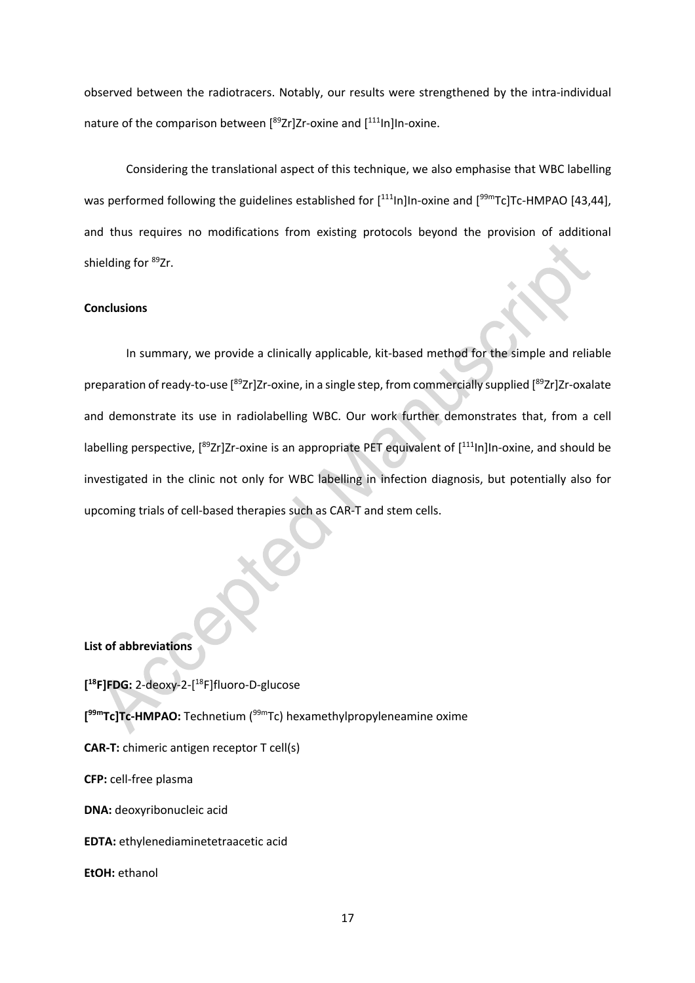observed between the radiotracers. Notably, our results were strengthened by the intra-individual nature of the comparison between [<sup>89</sup>Zr]Zr-oxine and [<sup>111</sup>In]In-oxine.

Considering the translational aspect of this technique, we also emphasise that WBC labelling was performed following the guidelines established for [<sup>111</sup>In]In-oxine and [<sup>99m</sup>Tc]Tc-HMPAO [43,44], and thus requires no modifications from existing protocols beyond the provision of additional shielding for <sup>89</sup>Zr.

#### **Conclusions**

In summary, we provide a clinically applicable, kit-based method for the simple and reliable preparation of ready-to-use [<sup>89</sup>Zr]Zr-oxine, in a single step, from commercially supplied [<sup>89</sup>Zr]Zr-oxalate and demonstrate its use in radiolabelling WBC. Our work further demonstrates that, from a cell labelling perspective, [<sup>89</sup>Zr]Zr-oxine is an appropriate PET equivalent of [<sup>111</sup>In]In-oxine, and should be investigated in the clinic not only for WBC labelling in infection diagnosis, but potentially also for upcoming trials of cell-based therapies such as CAR-T and stem cells.

## **List of abbreviations**

**[ 18F]FDG:** 2-deoxy-2-[ 18F]fluoro-D-glucose **[ 99mTc]Tc-HMPAO:** Technetium (99mTc) hexamethylpropyleneamine oxime **CAR-T:** chimeric antigen receptor T cell(s) **CFP:** cell-free plasma **DNA:** deoxyribonucleic acid **EDTA:** ethylenediaminetetraacetic acid **EtOH:** ethanol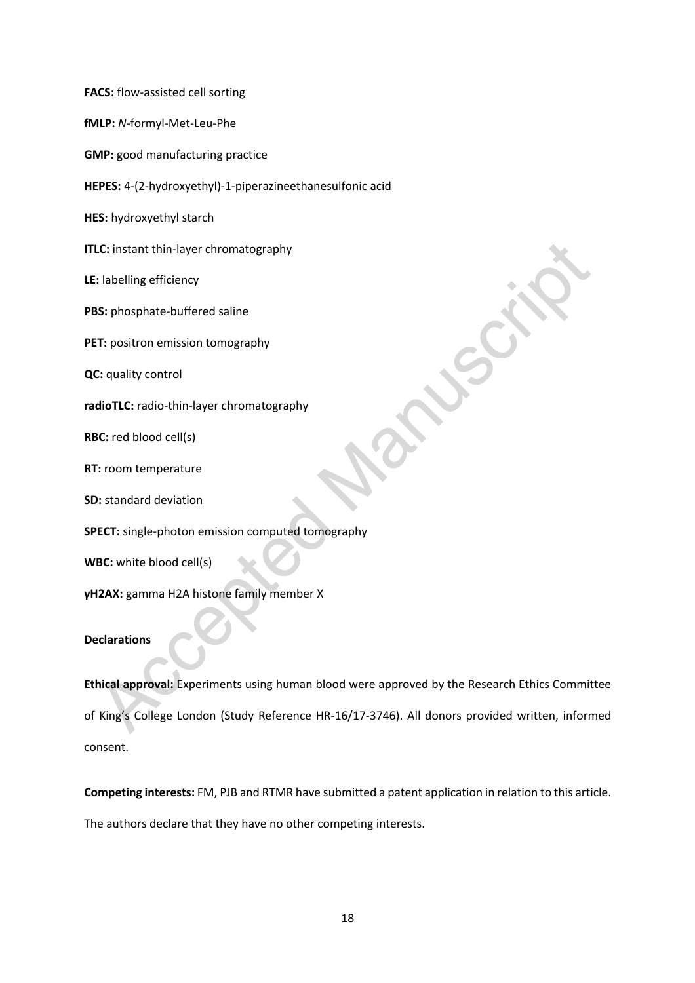**FACS:** flow-assisted cell sorting

**fMLP:** *N*-formyl-Met-Leu-Phe

**GMP:** good manufacturing practice

**HEPES:** 4-(2-hydroxyethyl)-1-piperazineethanesulfonic acid

**HES:** hydroxyethyl starch

**ITLC:** instant thin-layer chromatography

**LE:** labelling efficiency

**PBS:** phosphate-buffered saline

**PET:** positron emission tomography

**QC:** quality control

**radioTLC:** radio-thin-layer chromatography

**RBC:** red blood cell(s)

**RT:** room temperature

**SD:** standard deviation

**SPECT:** single-photon emission computed tomography

**WBC:** white blood cell(s)

**γH2AX:** gamma H2A histone family member X

# **Declarations**

**Ethical approval:** Experiments using human blood were approved by the Research Ethics Committee of King's College London (Study Reference HR-16/17-3746). All donors provided written, informed consent.

**Competing interests:** FM, PJB and RTMR have submitted a patent application in relation to this article. The authors declare that they have no other competing interests.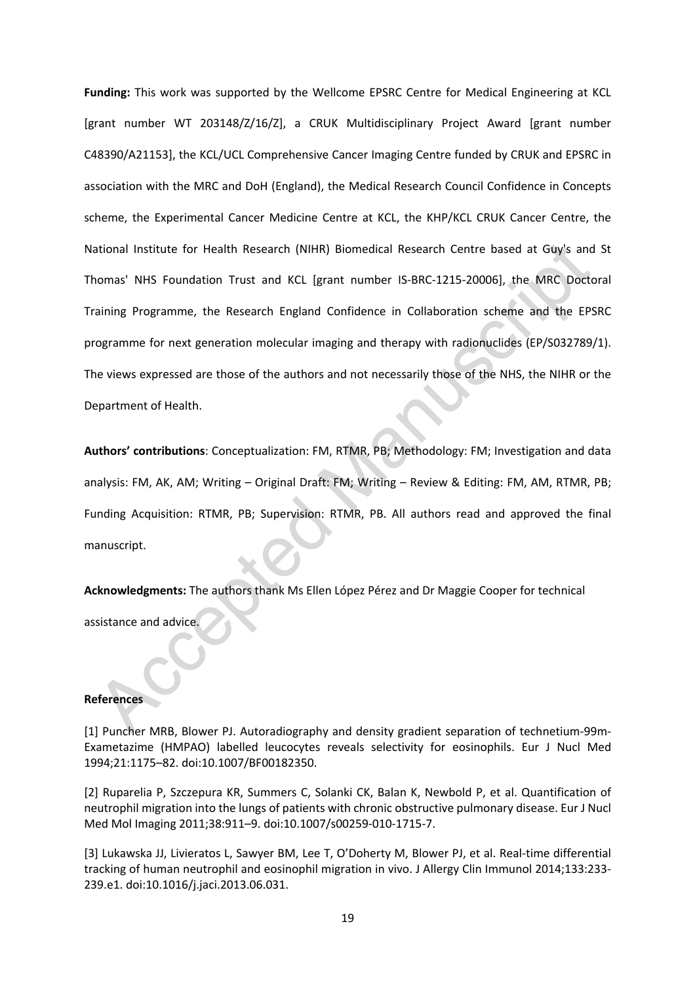**Funding:** This work was supported by the Wellcome EPSRC Centre for Medical Engineering at KCL [grant number WT 203148/Z/16/Z], a CRUK Multidisciplinary Project Award [grant number C48390/A21153], the KCL/UCL Comprehensive Cancer Imaging Centre funded by CRUK and EPSRC in association with the MRC and DoH (England), the Medical Research Council Confidence in Concepts scheme, the Experimental Cancer Medicine Centre at KCL, the KHP/KCL CRUK Cancer Centre, the National Institute for Health Research (NIHR) Biomedical Research Centre based at Guy's and St Thomas' NHS Foundation Trust and KCL [grant number IS-BRC-1215-20006], the MRC Doctoral Training Programme, the Research England Confidence in Collaboration scheme and the EPSRC programme for next generation molecular imaging and therapy with radionuclides (EP/S032789/1). The views expressed are those of the authors and not necessarily those of the NHS, the NIHR or the Department of Health.

**Authors' contributions**: Conceptualization: FM, RTMR, PB; Methodology: FM; Investigation and data analysis: FM, AK, AM; Writing – Original Draft: FM; Writing – Review & Editing: FM, AM, RTMR, PB; Funding Acquisition: RTMR, PB; Supervision: RTMR, PB. All authors read and approved the final manuscript.

**Acknowledgments:** The authors thank Ms Ellen López Pérez and Dr Maggie Cooper for technical assistance and advice.

#### **References**

[1] Puncher MRB, Blower PJ. Autoradiography and density gradient separation of technetium-99m-Exametazime (HMPAO) labelled leucocytes reveals selectivity for eosinophils. Eur J Nucl Med 1994;21:1175–82. doi:10.1007/BF00182350.

[2] Ruparelia P, Szczepura KR, Summers C, Solanki CK, Balan K, Newbold P, et al. Quantification of neutrophil migration into the lungs of patients with chronic obstructive pulmonary disease. Eur J Nucl Med Mol Imaging 2011;38:911–9. doi:10.1007/s00259-010-1715-7.

[3] Lukawska JJ, Livieratos L, Sawyer BM, Lee T, O'Doherty M, Blower PJ, et al. Real-time differential tracking of human neutrophil and eosinophil migration in vivo. J Allergy Clin Immunol 2014;133:233- 239.e1. doi:10.1016/j.jaci.2013.06.031.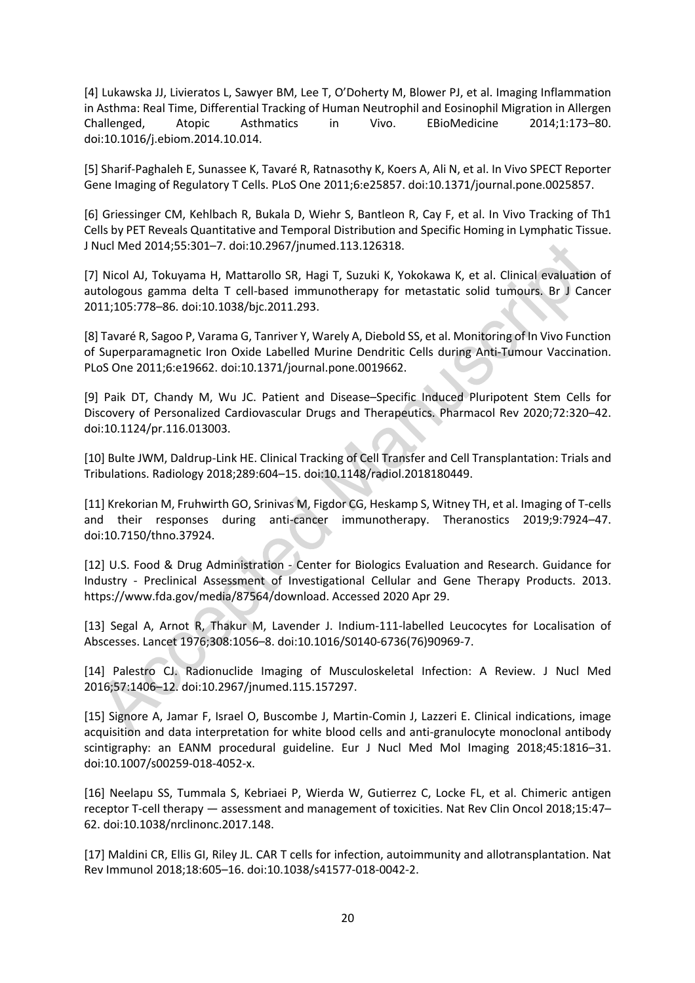[4] Lukawska JJ, Livieratos L, Sawyer BM, Lee T, O'Doherty M, Blower PJ, et al. Imaging Inflammation in Asthma: Real Time, Differential Tracking of Human Neutrophil and Eosinophil Migration in Allergen Challenged, Atopic Asthmatics in Vivo. EBioMedicine 2014;1:173–80. doi:10.1016/j.ebiom.2014.10.014.

[5] Sharif-Paghaleh E, Sunassee K, Tavaré R, Ratnasothy K, Koers A, Ali N, et al. In Vivo SPECT Reporter Gene Imaging of Regulatory T Cells. PLoS One 2011;6:e25857. doi:10.1371/journal.pone.0025857.

[6] Griessinger CM, Kehlbach R, Bukala D, Wiehr S, Bantleon R, Cay F, et al. In Vivo Tracking of Th1 Cells by PET Reveals Quantitative and Temporal Distribution and Specific Homing in Lymphatic Tissue. J Nucl Med 2014;55:301–7. doi:10.2967/jnumed.113.126318.

[7] Nicol AJ, Tokuyama H, Mattarollo SR, Hagi T, Suzuki K, Yokokawa K, et al. Clinical evaluation of autologous gamma delta T cell-based immunotherapy for metastatic solid tumours. Br J Cancer 2011;105:778–86. doi:10.1038/bjc.2011.293.

[8] Tavaré R, Sagoo P, Varama G, Tanriver Y, Warely A, Diebold SS, et al. Monitoring of In Vivo Function of Superparamagnetic Iron Oxide Labelled Murine Dendritic Cells during Anti-Tumour Vaccination. PLoS One 2011;6:e19662. doi:10.1371/journal.pone.0019662.

[9] Paik DT, Chandy M, Wu JC. Patient and Disease–Specific Induced Pluripotent Stem Cells for Discovery of Personalized Cardiovascular Drugs and Therapeutics. Pharmacol Rev 2020;72:320–42. doi:10.1124/pr.116.013003.

[10] Bulte JWM, Daldrup-Link HE. Clinical Tracking of Cell Transfer and Cell Transplantation: Trials and Tribulations. Radiology 2018;289:604–15. doi:10.1148/radiol.2018180449.

[11] Krekorian M, Fruhwirth GO, Srinivas M, Figdor CG, Heskamp S, Witney TH, et al. Imaging of T-cells and their responses during anti-cancer immunotherapy. Theranostics 2019;9:7924–47. doi:10.7150/thno.37924.

[12] U.S. Food & Drug Administration - Center for Biologics Evaluation and Research. Guidance for Industry - Preclinical Assessment of Investigational Cellular and Gene Therapy Products. 2013. https://www.fda.gov/media/87564/download. Accessed 2020 Apr 29.

[13] Segal A, Arnot R, Thakur M, Lavender J. Indium-111-labelled Leucocytes for Localisation of Abscesses. Lancet 1976;308:1056–8. doi:10.1016/S0140-6736(76)90969-7.

[14] Palestro CJ. Radionuclide Imaging of Musculoskeletal Infection: A Review. J Nucl Med 2016;57:1406–12. doi:10.2967/jnumed.115.157297.

[15] Signore A, Jamar F, Israel O, Buscombe J, Martin-Comin J, Lazzeri E. Clinical indications, image acquisition and data interpretation for white blood cells and anti-granulocyte monoclonal antibody scintigraphy: an EANM procedural guideline. Eur J Nucl Med Mol Imaging 2018;45:1816–31. doi:10.1007/s00259-018-4052-x.

[16] Neelapu SS, Tummala S, Kebriaei P, Wierda W, Gutierrez C, Locke FL, et al. Chimeric antigen receptor T-cell therapy — assessment and management of toxicities. Nat Rev Clin Oncol 2018;15:47– 62. doi:10.1038/nrclinonc.2017.148.

[17] Maldini CR, Ellis GI, Riley JL. CAR T cells for infection, autoimmunity and allotransplantation. Nat Rev Immunol 2018;18:605–16. doi:10.1038/s41577-018-0042-2.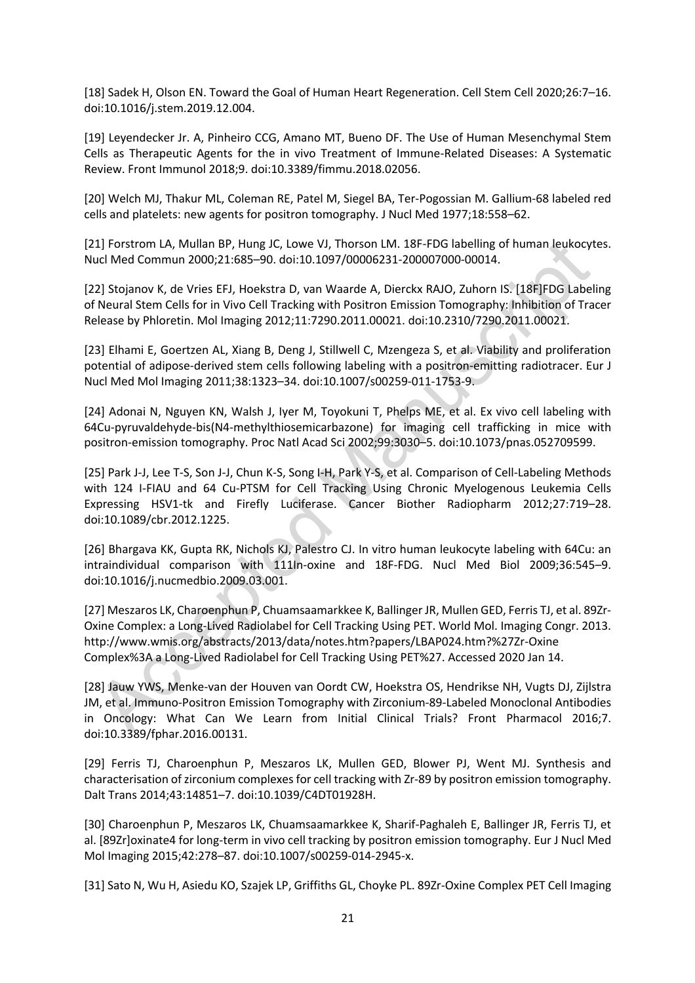[18] Sadek H, Olson EN. Toward the Goal of Human Heart Regeneration. Cell Stem Cell 2020;26:7–16. doi:10.1016/j.stem.2019.12.004.

[19] Leyendecker Jr. A, Pinheiro CCG, Amano MT, Bueno DF. The Use of Human Mesenchymal Stem Cells as Therapeutic Agents for the in vivo Treatment of Immune-Related Diseases: A Systematic Review. Front Immunol 2018;9. doi:10.3389/fimmu.2018.02056.

[20] Welch MJ, Thakur ML, Coleman RE, Patel M, Siegel BA, Ter-Pogossian M. Gallium-68 labeled red cells and platelets: new agents for positron tomography. J Nucl Med 1977;18:558–62.

[21] Forstrom LA, Mullan BP, Hung JC, Lowe VJ, Thorson LM. 18F-FDG labelling of human leukocytes. Nucl Med Commun 2000;21:685–90. doi:10.1097/00006231-200007000-00014.

[22] Stojanov K, de Vries EFJ, Hoekstra D, van Waarde A, Dierckx RAJO, Zuhorn IS. [18F]FDG Labeling of Neural Stem Cells for in Vivo Cell Tracking with Positron Emission Tomography: Inhibition of Tracer Release by Phloretin. Mol Imaging 2012;11:7290.2011.00021. doi:10.2310/7290.2011.00021.

[23] Elhami E, Goertzen AL, Xiang B, Deng J, Stillwell C, Mzengeza S, et al. Viability and proliferation potential of adipose-derived stem cells following labeling with a positron-emitting radiotracer. Eur J Nucl Med Mol Imaging 2011;38:1323–34. doi:10.1007/s00259-011-1753-9.

[24] Adonai N, Nguyen KN, Walsh J, Iyer M, Toyokuni T, Phelps ME, et al. Ex vivo cell labeling with 64Cu-pyruvaldehyde-bis(N4-methylthiosemicarbazone) for imaging cell trafficking in mice with positron-emission tomography. Proc Natl Acad Sci 2002;99:3030–5. doi:10.1073/pnas.052709599.

[25] Park J-J, Lee T-S, Son J-J, Chun K-S, Song I-H, Park Y-S, et al. Comparison of Cell-Labeling Methods with 124 I-FIAU and 64 Cu-PTSM for Cell Tracking Using Chronic Myelogenous Leukemia Cells Expressing HSV1-tk and Firefly Luciferase. Cancer Biother Radiopharm 2012;27:719–28. doi:10.1089/cbr.2012.1225.

[26] Bhargava KK, Gupta RK, Nichols KJ, Palestro CJ. In vitro human leukocyte labeling with 64Cu: an intraindividual comparison with 111In-oxine and 18F-FDG. Nucl Med Biol 2009;36:545–9. doi:10.1016/j.nucmedbio.2009.03.001.

[27] Meszaros LK, Charoenphun P, Chuamsaamarkkee K, Ballinger JR, Mullen GED, Ferris TJ, et al. 89Zr-Oxine Complex: a Long-Lived Radiolabel for Cell Tracking Using PET. World Mol. Imaging Congr. 2013. http://www.wmis.org/abstracts/2013/data/notes.htm?papers/LBAP024.htm?%27Zr-Oxine Complex%3A a Long-Lived Radiolabel for Cell Tracking Using PET%27. Accessed 2020 Jan 14.

[28] Jauw YWS, Menke-van der Houven van Oordt CW, Hoekstra OS, Hendrikse NH, Vugts DJ, Zijlstra JM, et al. Immuno-Positron Emission Tomography with Zirconium-89-Labeled Monoclonal Antibodies in Oncology: What Can We Learn from Initial Clinical Trials? Front Pharmacol 2016;7. doi:10.3389/fphar.2016.00131.

[29] Ferris TJ, Charoenphun P, Meszaros LK, Mullen GED, Blower PJ, Went MJ. Synthesis and characterisation of zirconium complexes for cell tracking with Zr-89 by positron emission tomography. Dalt Trans 2014;43:14851–7. doi:10.1039/C4DT01928H.

[30] Charoenphun P, Meszaros LK, Chuamsaamarkkee K, Sharif-Paghaleh E, Ballinger JR, Ferris TJ, et al. [89Zr]oxinate4 for long-term in vivo cell tracking by positron emission tomography. Eur J Nucl Med Mol Imaging 2015;42:278–87. doi:10.1007/s00259-014-2945-x.

[31] Sato N, Wu H, Asiedu KO, Szajek LP, Griffiths GL, Choyke PL. 89Zr-Oxine Complex PET Cell Imaging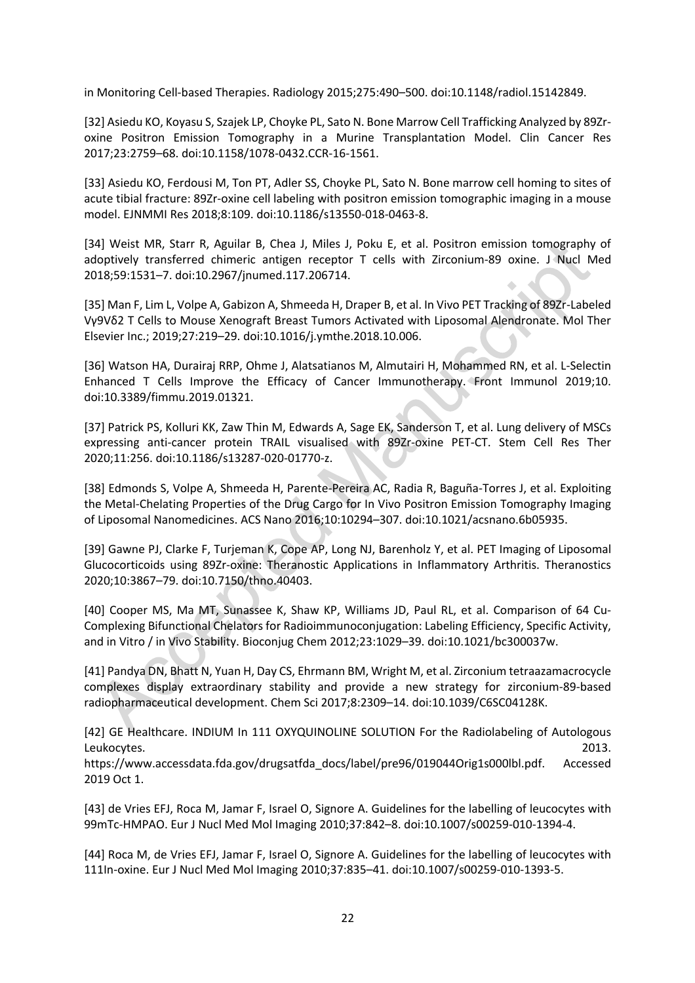in Monitoring Cell-based Therapies. Radiology 2015;275:490–500. doi:10.1148/radiol.15142849.

[32] Asiedu KO, Koyasu S, Szajek LP, Choyke PL, Sato N. Bone Marrow Cell Trafficking Analyzed by 89Zroxine Positron Emission Tomography in a Murine Transplantation Model. Clin Cancer Res 2017;23:2759–68. doi:10.1158/1078-0432.CCR-16-1561.

[33] Asiedu KO, Ferdousi M, Ton PT, Adler SS, Choyke PL, Sato N. Bone marrow cell homing to sites of acute tibial fracture: 89Zr-oxine cell labeling with positron emission tomographic imaging in a mouse model. EJNMMI Res 2018;8:109. doi:10.1186/s13550-018-0463-8.

[34] Weist MR, Starr R, Aguilar B, Chea J, Miles J, Poku E, et al. Positron emission tomography of adoptively transferred chimeric antigen receptor T cells with Zirconium-89 oxine. J Nucl Med 2018;59:1531–7. doi:10.2967/jnumed.117.206714.

[35] Man F, Lim L, Volpe A, Gabizon A, Shmeeda H, Draper B, et al. In Vivo PET Tracking of 89Zr-Labeled Vγ9Vδ2 T Cells to Mouse Xenograft Breast Tumors Activated with Liposomal Alendronate. Mol Ther Elsevier Inc.; 2019;27:219–29. doi:10.1016/j.ymthe.2018.10.006.

[36] Watson HA, Durairaj RRP, Ohme J, Alatsatianos M, Almutairi H, Mohammed RN, et al. L-Selectin Enhanced T Cells Improve the Efficacy of Cancer Immunotherapy. Front Immunol 2019;10. doi:10.3389/fimmu.2019.01321.

[37] Patrick PS, Kolluri KK, Zaw Thin M, Edwards A, Sage EK, Sanderson T, et al. Lung delivery of MSCs expressing anti-cancer protein TRAIL visualised with 89Zr-oxine PET-CT. Stem Cell Res Ther 2020;11:256. doi:10.1186/s13287-020-01770-z.

[38] Edmonds S, Volpe A, Shmeeda H, Parente-Pereira AC, Radia R, Baguña-Torres J, et al. Exploiting the Metal-Chelating Properties of the Drug Cargo for In Vivo Positron Emission Tomography Imaging of Liposomal Nanomedicines. ACS Nano 2016;10:10294–307. doi:10.1021/acsnano.6b05935.

[39] Gawne PJ, Clarke F, Turjeman K, Cope AP, Long NJ, Barenholz Y, et al. PET Imaging of Liposomal Glucocorticoids using 89Zr-oxine: Theranostic Applications in Inflammatory Arthritis. Theranostics 2020;10:3867–79. doi:10.7150/thno.40403.

[40] Cooper MS, Ma MT, Sunassee K, Shaw KP, Williams JD, Paul RL, et al. Comparison of 64 Cu-Complexing Bifunctional Chelators for Radioimmunoconjugation: Labeling Efficiency, Specific Activity, and in Vitro / in Vivo Stability. Bioconjug Chem 2012;23:1029–39. doi:10.1021/bc300037w.

[41] Pandya DN, Bhatt N, Yuan H, Day CS, Ehrmann BM, Wright M, et al. Zirconium tetraazamacrocycle complexes display extraordinary stability and provide a new strategy for zirconium-89-based radiopharmaceutical development. Chem Sci 2017;8:2309–14. doi:10.1039/C6SC04128K.

[42] GE Healthcare. INDIUM In 111 OXYQUINOLINE SOLUTION For the Radiolabeling of Autologous Leukocytes. 2013. https://www.accessdata.fda.gov/drugsatfda\_docs/label/pre96/019044Orig1s000lbl.pdf. Accessed 2019 Oct 1.

[43] de Vries EFJ, Roca M, Jamar F, Israel O, Signore A. Guidelines for the labelling of leucocytes with 99mTc-HMPAO. Eur J Nucl Med Mol Imaging 2010;37:842–8. doi:10.1007/s00259-010-1394-4.

[44] Roca M, de Vries EFJ, Jamar F, Israel O, Signore A. Guidelines for the labelling of leucocytes with 111In-oxine. Eur J Nucl Med Mol Imaging 2010;37:835–41. doi:10.1007/s00259-010-1393-5.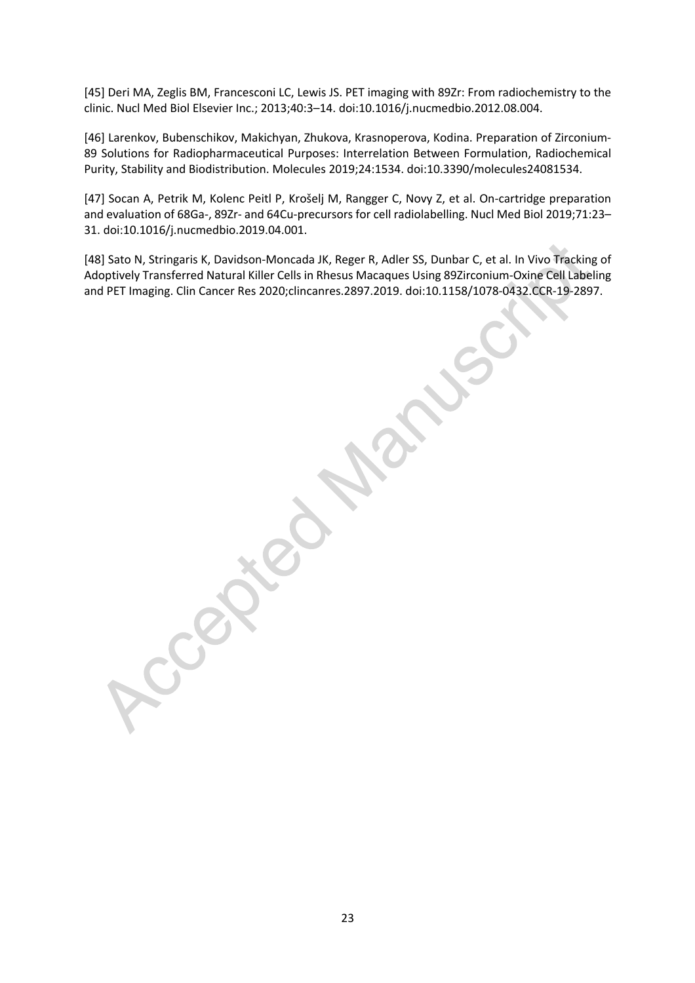[45] Deri MA, Zeglis BM, Francesconi LC, Lewis JS. PET imaging with 89Zr: From radiochemistry to the clinic. Nucl Med Biol Elsevier Inc.; 2013;40:3–14. doi:10.1016/j.nucmedbio.2012.08.004.

[46] Larenkov, Bubenschikov, Makichyan, Zhukova, Krasnoperova, Kodina. Preparation of Zirconium-89 Solutions for Radiopharmaceutical Purposes: Interrelation Between Formulation, Radiochemical Purity, Stability and Biodistribution. Molecules 2019;24:1534. doi:10.3390/molecules24081534.

[47] Socan A, Petrik M, Kolenc Peitl P, Krošelj M, Rangger C, Novy Z, et al. On-cartridge preparation and evaluation of 68Ga-, 89Zr- and 64Cu-precursors for cell radiolabelling. Nucl Med Biol 2019;71:23– 31. doi:10.1016/j.nucmedbio.2019.04.001.

[48] Sato N, Stringaris K, Davidson-Moncada JK, Reger R, Adler SS, Dunbar C, et al. In Vivo Tracking of Adoptively Transferred Natural Killer Cells in Rhesus Macaques Using 89Zirconium-Oxine Cell Labeling and PET Imaging. Clin Cancer Res 2020;clincanres.2897.2019. doi:10.1158/1078-0432.CCR-19-2897.

23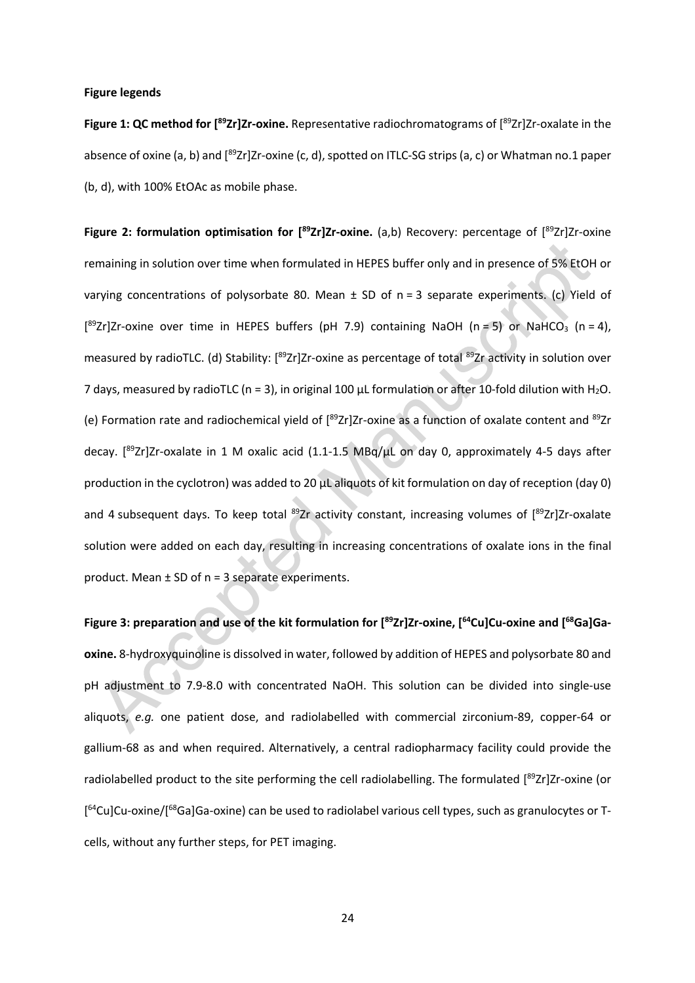#### **Figure legends**

**Figure 1: QC method for [ 89Zr]Zr-oxine.** Representative radiochromatograms of [ 89Zr]Zr-oxalate in the absence of oxine (a, b) and [<sup>89</sup>Zr]Zr-oxine (c, d), spotted on ITLC-SG strips (a, c) or Whatman no.1 paper (b, d), with 100% EtOAc as mobile phase.

Figure 2: formulation optimisation for [<sup>89</sup>Zr]Zr-oxine. (a,b) Recovery: percentage of [<sup>89</sup>Zr]Zr-oxine remaining in solution over time when formulated in HEPES buffer only and in presence of 5% EtOH or varying concentrations of polysorbate 80. Mean  $\pm$  SD of n = 3 separate experiments. (c) Yield of [<sup>89</sup>Zr]Zr-oxine over time in HEPES buffers (pH 7.9) containing NaOH (n = 5) or NaHCO<sub>3</sub> (n = 4), measured by radioTLC. (d) Stability: [<sup>89</sup>Zr]Zr-oxine as percentage of total <sup>89</sup>Zr activity in solution over 7 days, measured by radioTLC (n = 3), in original 100  $\mu$ L formulation or after 10-fold dilution with H<sub>2</sub>O. (e) Formation rate and radiochemical yield of [89Zr]Zr-oxine as a function of oxalate content and 89Zr decay. [<sup>89</sup>Zr]Zr-oxalate in 1 M oxalic acid (1.1-1.5 MBq/µL on day 0, approximately 4-5 days after production in the cyclotron) was added to 20 µL aliquots of kit formulation on day of reception (day 0) and 4 subsequent days. To keep total <sup>89</sup>Zr activity constant, increasing volumes of [<sup>89</sup>Zr]Zr-oxalate solution were added on each day, resulting in increasing concentrations of oxalate ions in the final product. Mean ± SD of n = 3 separate experiments.

**Figure 3: preparation and use of the kit formulation for [ 89Zr]Zr-oxine, [ 64Cu]Cu-oxine and [ 68Ga]Gaoxine.** 8-hydroxyquinoline is dissolved in water, followed by addition of HEPES and polysorbate 80 and pH adjustment to 7.9-8.0 with concentrated NaOH. This solution can be divided into single-use aliquots, *e.g.* one patient dose, and radiolabelled with commercial zirconium-89, copper-64 or gallium-68 as and when required. Alternatively, a central radiopharmacy facility could provide the radiolabelled product to the site performing the cell radiolabelling. The formulated [<sup>89</sup>Zr]Zr-oxine (or [<sup>64</sup>Cu]Cu-oxine/[<sup>68</sup>Ga]Ga-oxine) can be used to radiolabel various cell types, such as granulocytes or Tcells, without any further steps, for PET imaging.